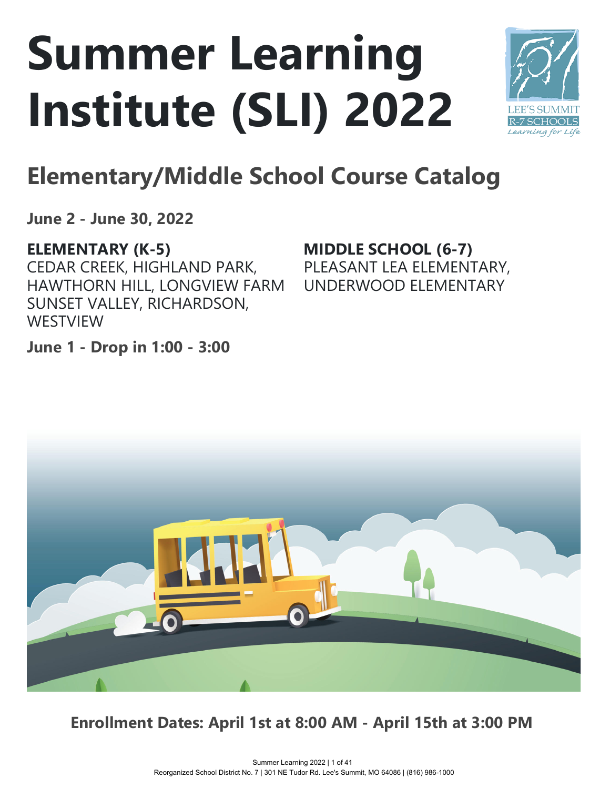# **Summer Learning Institute (SLI) 2022**



# **Elementary/Middle School Course Catalog**

**June 2 - June 30, 2022**

# **ELEMENTARY (K-5)**

CEDAR CREEK, HIGHLAND PARK, HAWTHORN HILL, LONGVIEW FARM SUNSET VALLEY, RICHARDSON, **WESTVIEW** 

**MIDDLE SCHOOL (6-7)** PLEASANT LEA ELEMENTARY, UNDERWOOD ELEMENTARY

**June 1 - Drop in 1:00 - 3:00**



**Enrollment Dates: April 1st at 8:00 AM - April 15th at 3:00 PM**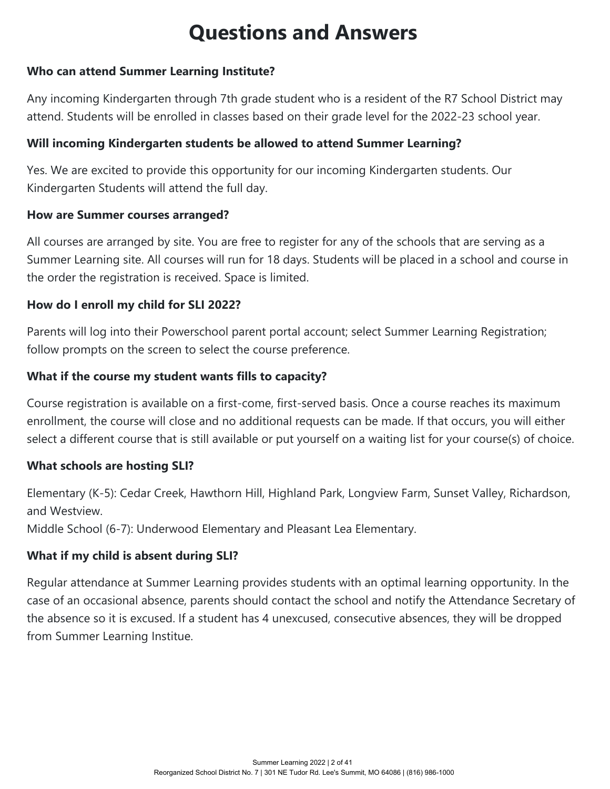# **Questions and Answers**

#### **Who can attend Summer Learning Institute?**

Any incoming Kindergarten through 7th grade student who is a resident of the R7 School District may attend. Students will be enrolled in classes based on their grade level for the 2022-23 school year.

#### **Will incoming Kindergarten students be allowed to attend Summer Learning?**

Yes. We are excited to provide this opportunity for our incoming Kindergarten students. Our Kindergarten Students will attend the full day.

#### **How are Summer courses arranged?**

All courses are arranged by site. You are free to register for any of the schools that are serving as a Summer Learning site. All courses will run for 18 days. Students will be placed in a school and course in the order the registration is received. Space is limited.

#### **How do I enroll my child for SLI 2022?**

Parents will log into their Powerschool parent portal account; select Summer Learning Registration; follow prompts on the screen to select the course preference.

#### **What if the course my student wants fills to capacity?**

Course registration is available on a first-come, first-served basis. Once a course reaches its maximum enrollment, the course will close and no additional requests can be made. If that occurs, you will either select a different course that is still available or put yourself on a waiting list for your course(s) of choice.

#### **What schools are hosting SLI?**

Elementary (K-5): Cedar Creek, Hawthorn Hill, Highland Park, Longview Farm, Sunset Valley, Richardson, and Westview.

Middle School (6-7): Underwood Elementary and Pleasant Lea Elementary.

#### **What if my child is absent during SLI?**

Regular attendance at Summer Learning provides students with an optimal learning opportunity. In the case of an occasional absence, parents should contact the school and notify the Attendance Secretary of the absence so it is excused. If a student has 4 unexcused, consecutive absences, they will be dropped from Summer Learning Institue.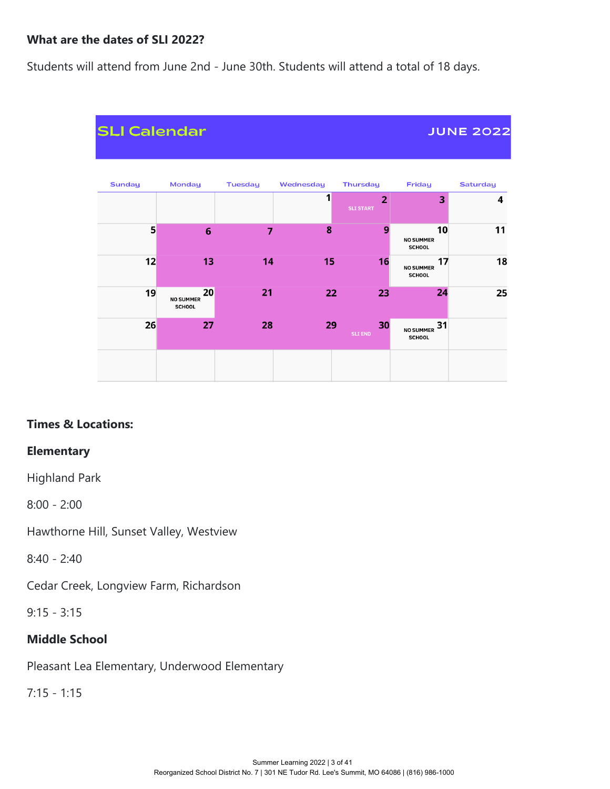#### **What are the dates of SLI 2022?**

Students will attend from June 2nd - June 30th. Students will attend a total of 18 days.



#### **Times & Locations:**

#### **Elementary**

Highland Park

8:00 - 2:00

Hawthorne Hill, Sunset Valley, Westview

8:40 - 2:40

Cedar Creek, Longview Farm, Richardson

9:15 - 3:15

#### **Middle School**

Pleasant Lea Elementary, Underwood Elementary

7:15 - 1:15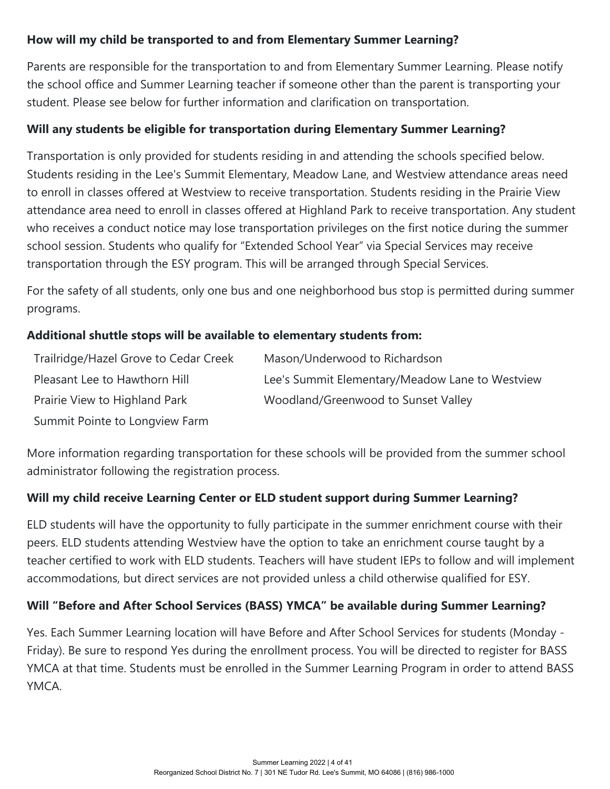#### **How will my child be transported to and from Elementary Summer Learning?**

Parents are responsible for the transportation to and from Elementary Summer Learning. Please notify the school office and Summer Learning teacher if someone other than the parent is transporting your student. Please see below for further information and clarification on transportation.

#### **Will any students be eligible for transportation during Elementary Summer Learning?**

Transportation is only provided for students residing in and attending the schools specified below. Students residing in the Lee's Summit Elementary, Meadow Lane, and Westview attendance areas need to enroll in classes offered at Westview to receive transportation. Students residing in the Prairie View attendance area need to enroll in classes offered at Highland Park to receive transportation. Any student who receives a conduct notice may lose transportation privileges on the first notice during the summer school session. Students who qualify for "Extended School Year" via Special Services may receive transportation through the ESY program. This will be arranged through Special Services.

For the safety of all students, only one bus and one neighborhood bus stop is permitted during summer programs.

#### **Additional shuttle stops will be available to elementary students from:**

| Trailridge/Hazel Grove to Cedar Creek | Mason/Underwood to Richardson                   |
|---------------------------------------|-------------------------------------------------|
| Pleasant Lee to Hawthorn Hill         | Lee's Summit Elementary/Meadow Lane to Westview |
| Prairie View to Highland Park         | Woodland/Greenwood to Sunset Valley             |
| Summit Pointe to Longview Farm        |                                                 |

More information regarding transportation for these schools will be provided from the summer school administrator following the registration process.

#### **Will my child receive Learning Center or ELD student support during Summer Learning?**

ELD students will have the opportunity to fully participate in the summer enrichment course with their peers. ELD students attending Westview have the option to take an enrichment course taught by a teacher certified to work with ELD students. Teachers will have student IEPs to follow and will implement accommodations, but direct services are not provided unless a child otherwise qualified for ESY.

#### **Will "Before and After School Services (BASS) YMCA" be available during Summer Learning?**

Yes. Each Summer Learning location will have Before and After School Services for students (Monday - Friday). Be sure to respond Yes during the enrollment process. You will be directed to register for BASS YMCA at that time. Students must be enrolled in the Summer Learning Program in order to attend BASS YMCA.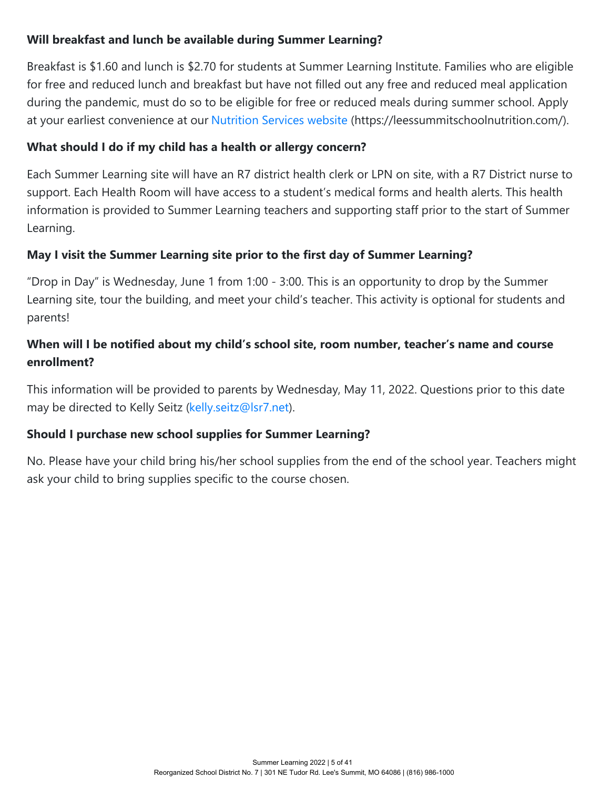#### **Will breakfast and lunch be available during Summer Learning?**

Breakfast is \$1.60 and lunch is \$2.70 for students at Summer Learning Institute. Families who are eligible for free and reduced lunch and breakfast but have not filled out any free and reduced meal application during the pandemic, must do so to be eligible for free or reduced meals during summer school. Apply at your earliest convenience at our [Nutrition Services website](https://leessummitschoolnutrition.com/) (https://leessummitschoolnutrition.com/).

#### **What should I do if my child has a health or allergy concern?**

Each Summer Learning site will have an R7 district health clerk or LPN on site, with a R7 District nurse to support. Each Health Room will have access to a student's medical forms and health alerts. This health information is provided to Summer Learning teachers and supporting staff prior to the start of Summer Learning.

#### **May I visit the Summer Learning site prior to the first day of Summer Learning?**

"Drop in Day" is Wednesday, June 1 from 1:00 - 3:00. This is an opportunity to drop by the Summer Learning site, tour the building, and meet your child's teacher. This activity is optional for students and parents!

#### **When will I be notified about my child's school site, room number, teacher's name and course enrollment?**

This information will be provided to parents by Wednesday, May 11, 2022. Questions prior to this date may be directed to Kelly Seitz [\(kelly.seitz@lsr7.net](mailto:kelly.seitz@lsr7.net)).

#### **Should I purchase new school supplies for Summer Learning?**

No. Please have your child bring his/her school supplies from the end of the school year. Teachers might ask your child to bring supplies specific to the course chosen.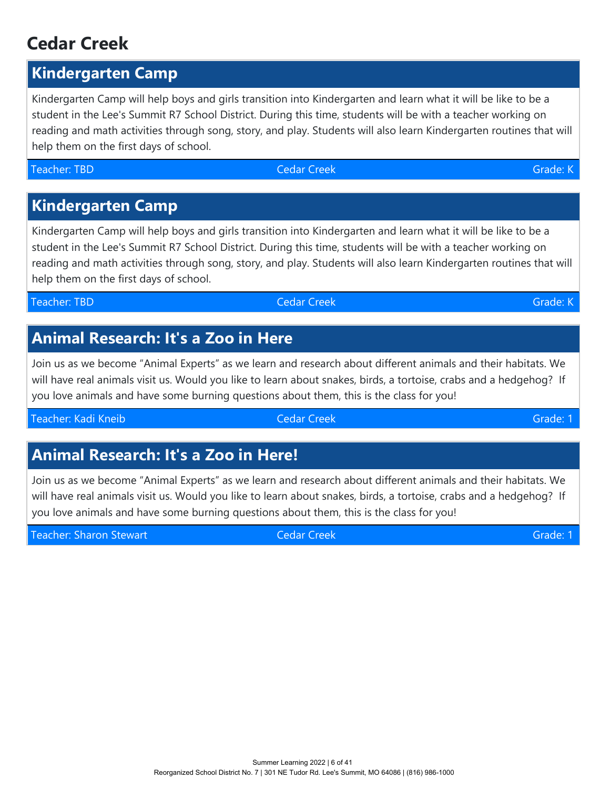# **Cedar Creek**

# **Kindergarten Camp**

Kindergarten Camp will help boys and girls transition into Kindergarten and learn what it will be like to be a student in the Lee's Summit R7 School District. During this time, students will be with a teacher working on reading and math activities through song, story, and play. Students will also learn Kindergarten routines that will help them on the first days of school.

# **Kindergarten Camp**

Kindergarten Camp will help boys and girls transition into Kindergarten and learn what it will be like to be a student in the Lee's Summit R7 School District. During this time, students will be with a teacher working on reading and math activities through song, story, and play. Students will also learn Kindergarten routines that will help them on the first days of school.

Teacher: TBD Cedar Creek Grade: K

# **Animal Research: It's a Zoo in Here**

Join us as we become "Animal Experts" as we learn and research about different animals and their habitats. We will have real animals visit us. Would you like to learn about snakes, birds, a tortoise, crabs and a hedgehog? If you love animals and have some burning questions about them, this is the class for you!

Teacher: Kadi Kneib Cedar Creek Grade: 1

# **Animal Research: It's a Zoo in Here!**

Join us as we become "Animal Experts" as we learn and research about different animals and their habitats. We will have real animals visit us. Would you like to learn about snakes, birds, a tortoise, crabs and a hedgehog? If you love animals and have some burning questions about them, this is the class for you!

Teacher: Sharon Stewart Cedar Creek Grade: 1 Cedar Creek Grade: 1 Cedar Creek Grade: 1 Cedar Creek Grade: 1 Cedar Creek Grade: 1 Cedar Creek Grade: 1 Cedar Creek Grade: 1 Cedar Creek Grade: 1 Cedar Creek Grade: 1 Cedar Cre

Teacher: TBD Cedar Creek Grade: K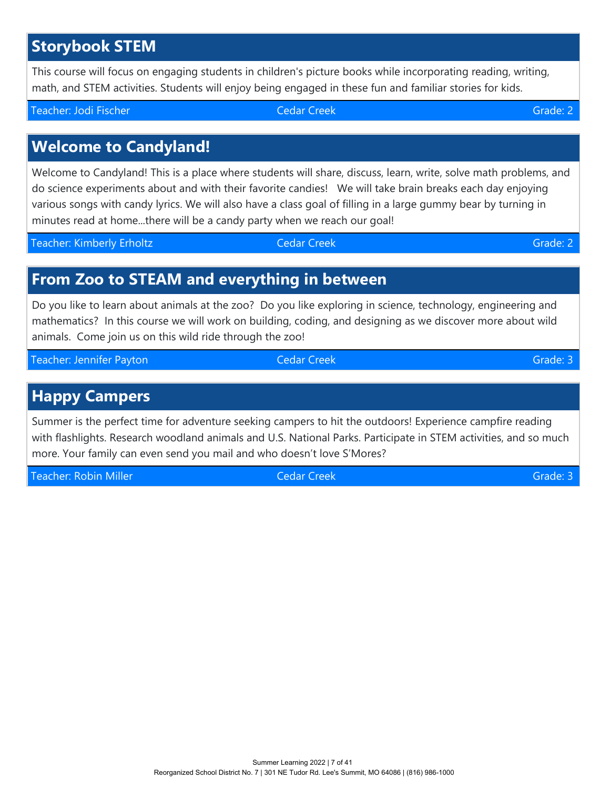# **Storybook STEM**

This course will focus on engaging students in children's picture books while incorporating reading, writing, math, and STEM activities. Students will enjoy being engaged in these fun and familiar stories for kids.

# **Welcome to Candyland!**

Welcome to Candyland! This is a place where students will share, discuss, learn, write, solve math problems, and do science experiments about and with their favorite candies! We will take brain breaks each day enjoying various songs with candy lyrics. We will also have a class goal of filling in a large gummy bear by turning in minutes read at home...there will be a candy party when we reach our goal!

Teacher: Kimberly Erholtz Cedar Creek Grade: 2

#### **From Zoo to STEAM and everything in between**

Do you like to learn about animals at the zoo? Do you like exploring in science, technology, engineering and mathematics? In this course we will work on building, coding, and designing as we discover more about wild animals. Come join us on this wild ride through the zoo!

Teacher: Jennifer Payton Cedar Creek Grade: 3

### **Happy Campers**

Summer is the perfect time for adventure seeking campers to hit the outdoors! Experience campfire reading with flashlights. Research woodland animals and U.S. National Parks. Participate in STEM activities, and so much more. Your family can even send you mail and who doesn't love S'Mores?

Teacher: Robin Miller Cedar Creek Grade: 3 Cedar Creek Grade: 3 Cedar Creek Grade: 3 Cedar Creek Grade: 3 Cedar Creek Grade: 3 Cedar Creek Grade: 3 Cedar Creek Grade: 3 Cedar Creek Grade: 3 Cedar Creek Grade: 3 Cedar Creek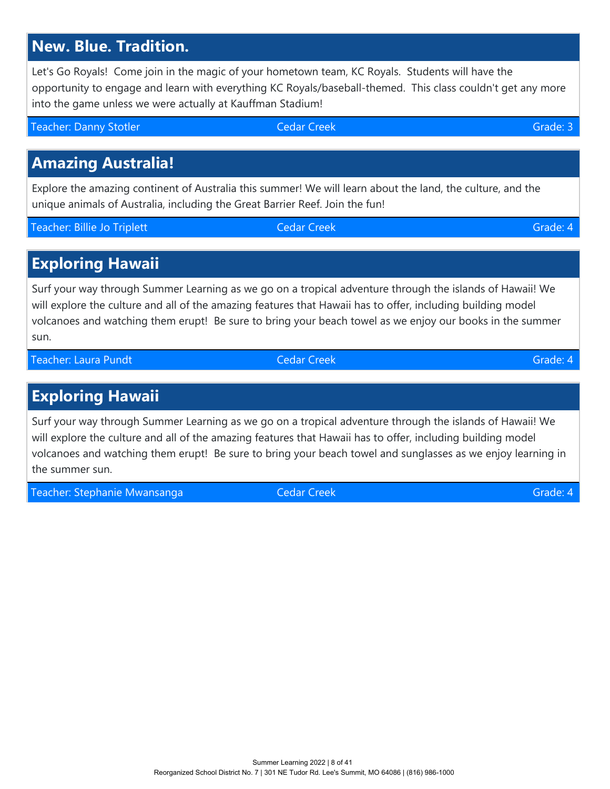# **New. Blue. Tradition.**

Let's Go Royals! Come join in the magic of your hometown team, KC Royals. Students will have the opportunity to engage and learn with everything KC Royals/baseball-themed. This class couldn't get any more into the game unless we were actually at Kauffman Stadium!

Teacher: Danny Stotler Cedar Creek Grade: 3

# **Amazing Australia!**

Explore the amazing continent of Australia this summer! We will learn about the land, the culture, and the unique animals of Australia, including the Great Barrier Reef. Join the fun!

Teacher: Billie Jo Triplett Christian Cedar Creek Creek Grade: 4

#### **Exploring Hawaii**

Surf your way through Summer Learning as we go on a tropical adventure through the islands of Hawaii! We will explore the culture and all of the amazing features that Hawaii has to offer, including building model volcanoes and watching them erupt! Be sure to bring your beach towel as we enjoy our books in the summer sun.

Teacher: Laura Pundt Cedar Creek Grade: 4

**Exploring Hawaii**

Surf your way through Summer Learning as we go on a tropical adventure through the islands of Hawaii! We will explore the culture and all of the amazing features that Hawaii has to offer, including building model volcanoes and watching them erupt! Be sure to bring your beach towel and sunglasses as we enjoy learning in the summer sun.

Teacher: Stephanie Mwansanga Cedar Creek Grade: 4 Grade: 4 Grade: 4 Grade: 4 Grade: 4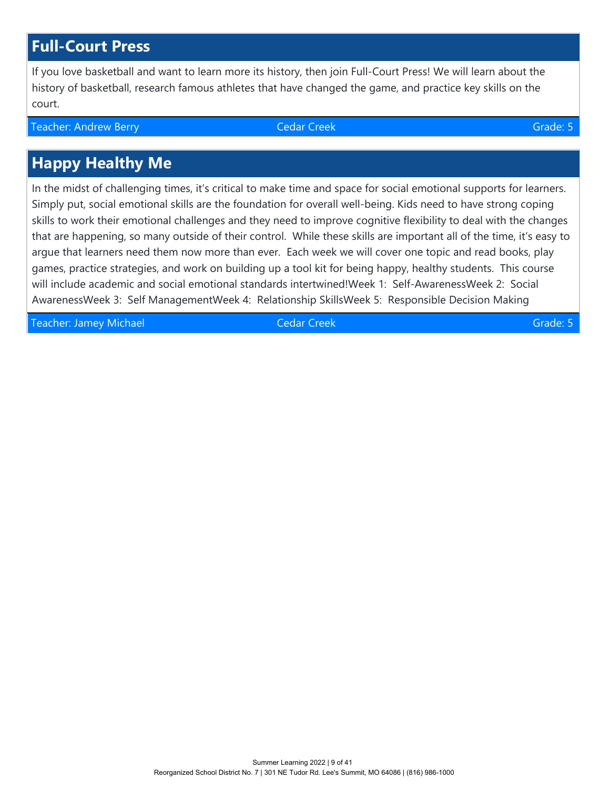# **Full-Court Press**

If you love basketball and want to learn more its history, then join Full-Court Press! We will learn about the history of basketball, research famous athletes that have changed the game, and practice key skills on the court.

Teacher: Andrew Berry Cedar Creek Grade: 5

# **Happy Healthy Me**

In the midst of challenging times, it's critical to make time and space for social emotional supports for learners. Simply put, social emotional skills are the foundation for overall well-being. Kids need to have strong coping skills to work their emotional challenges and they need to improve cognitive flexibility to deal with the changes that are happening, so many outside of their control. While these skills are important all of the time, it's easy to argue that learners need them now more than ever. Each week we will cover one topic and read books, play games, practice strategies, and work on building up a tool kit for being happy, healthy students. This course will include academic and social emotional standards intertwined!Week 1: Self-AwarenessWeek 2: Social AwarenessWeek 3: Self ManagementWeek 4: Relationship SkillsWeek 5: Responsible Decision Making

Teacher: Jamey Michael Cedar Creek Grade: 5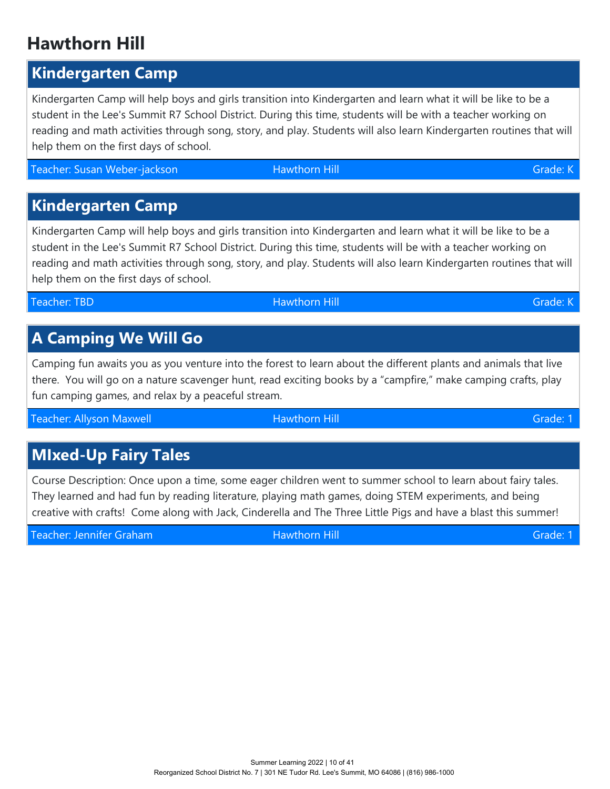Teacher: Allyson Maxwell Hawthorn Hill Grade: 1

Course Description: Once upon a time, some eager children went to summer school to learn about fairy tales. They learned and had fun by reading literature, playing math games, doing STEM experiments, and being creative with crafts! Come along with Jack, Cinderella and The Three Little Pigs and have a blast this summer!

Teacher: Jennifer Graham Hawthorn Hill Grade: 1 Grade: 1 Grade: 1 Grade: 1

Camping fun awaits you as you venture into the forest to learn about the different plants and animals that live there. You will go on a nature scavenger hunt, read exciting books by a "campfire," make camping crafts, play fun camping games, and relax by a peaceful stream.

student in the Lee's Summit R7 School District. During this time, students will be with a teacher working on reading and math activities through song, story, and play. Students will also learn Kindergarten routines that will help them on the first days of school.

Kindergarten Camp will help boys and girls transition into Kindergarten and learn what it will be like to be a

help them on the first days of school.

Kindergarten Camp will help boys and girls transition into Kindergarten and learn what it will be like to be a student in the Lee's Summit R7 School District. During this time, students will be with a teacher working on reading and math activities through song, story, and play. Students will also learn Kindergarten routines that will

Teacher: Susan Weber-jackson المساحة المساحة المساحة المساحة المساحة المساحة المساحة المساحة المساحة المساحة ا

**Kindergarten Camp**

# **Hawthorn Hill**

**Kindergarten Camp**

Teacher: TBD Hawthorn Hill Grade: K

**MIxed-Up Fairy Tales**

**A Camping We Will Go**

Summer Learning 2022 | 10 of 41 Reorganized School District No. 7 | 301 NE Tudor Rd. Lee's Summit, MO 64086 | (816) 986-1000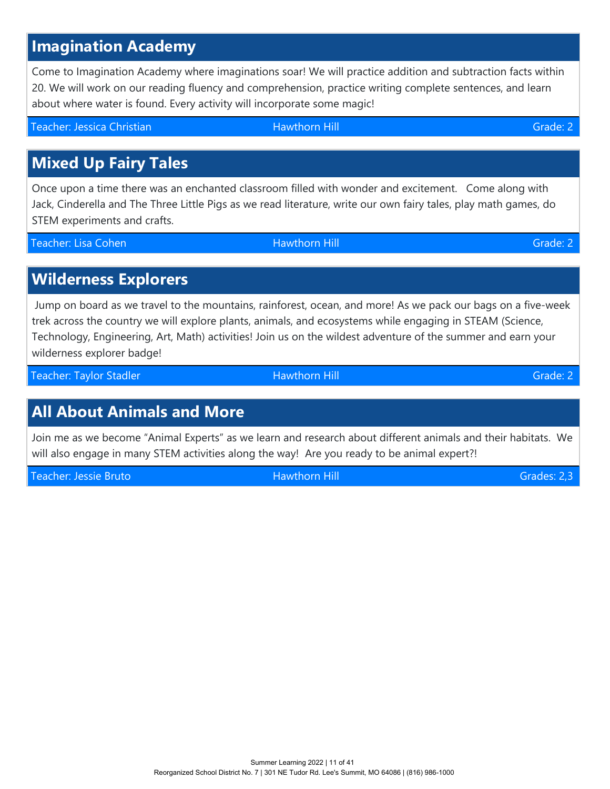Summer Learning 2022 | 11 of 41 Reorganized School District No. 7 | 301 NE Tudor Rd. Lee's Summit, MO 64086 | (816) 986-1000

# **Imagination Academy**

Come to Imagination Academy where imaginations soar! We will practice addition and subtraction facts within 20. We will work on our reading fluency and comprehension, practice writing complete sentences, and learn about where water is found. Every activity will incorporate some magic!

Teacher: Jessica Christian National Hawthorn Hill Grade: 2

# **Mixed Up Fairy Tales**

Once upon a time there was an enchanted classroom filled with wonder and excitement. Come along with Jack, Cinderella and The Three Little Pigs as we read literature, write our own fairy tales, play math games, do STEM experiments and crafts.

Teacher: Lisa Cohen Hawthorn Hill Grade: 2

# **Wilderness Explorers**

 Jump on board as we travel to the mountains, rainforest, ocean, and more! As we pack our bags on a five-week trek across the country we will explore plants, animals, and ecosystems while engaging in STEAM (Science, Technology, Engineering, Art, Math) activities! Join us on the wildest adventure of the summer and earn your wilderness explorer badge!

Teacher: Taylor Stadler Hawthorn Hill Grade: 2

# **All About Animals and More**

Join me as we become "Animal Experts" as we learn and research about different animals and their habitats. We will also engage in many STEM activities along the way! Are you ready to be animal expert?!

Teacher: Jessie Bruto Hawthorn Hill Grades: 2,3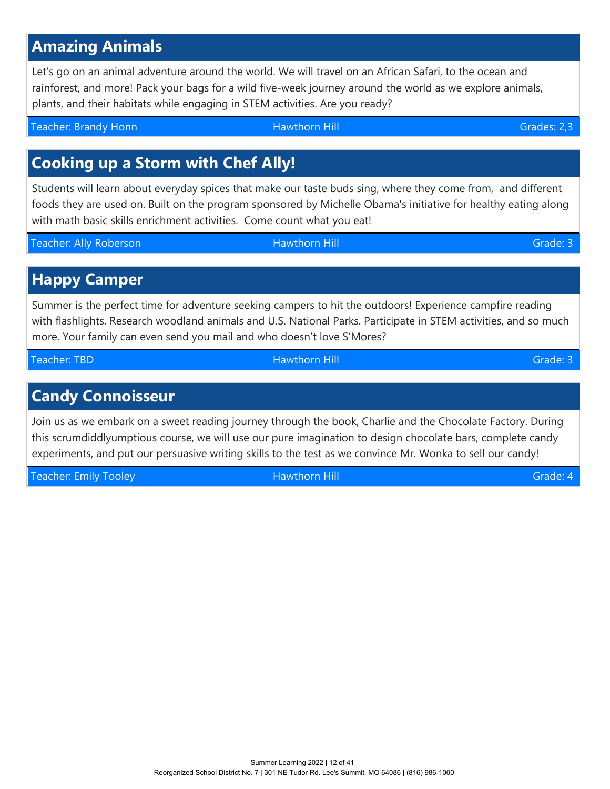# **Amazing Animals**

Let's go on an animal adventure around the world. We will travel on an African Safari, to the ocean and rainforest, and more! Pack your bags for a wild five-week journey around the world as we explore animals, plants, and their habitats while engaging in STEM activities. Are you ready?

Teacher: Brandy Honn Hawthorn Hill Grades: 2,3

# **Cooking up a Storm with Chef Ally!**

Students will learn about everyday spices that make our taste buds sing, where they come from, and different foods they are used on. Built on the program sponsored by Michelle Obama's initiative for healthy eating along with math basic skills enrichment activities. Come count what you eat!

Teacher: Ally Roberson **Maxthorn Hill** Hawthorn Hill Grade: 3

# **Happy Camper**

Summer is the perfect time for adventure seeking campers to hit the outdoors! Experience campfire reading with flashlights. Research woodland animals and U.S. National Parks. Participate in STEM activities, and so much more. Your family can even send you mail and who doesn't love S'Mores?

Teacher: TBD Hawthorn Hill Grade: 3

# **Candy Connoisseur**

Join us as we embark on a sweet reading journey through the book, Charlie and the Chocolate Factory. During this scrumdiddlyumptious course, we will use our pure imagination to design chocolate bars, complete candy experiments, and put our persuasive writing skills to the test as we convince Mr. Wonka to sell our candy!

Teacher: Emily Tooley National Grade: 4 National Hill Grade: 4 National Grade: 4 National Grade: 4 National Grade: 4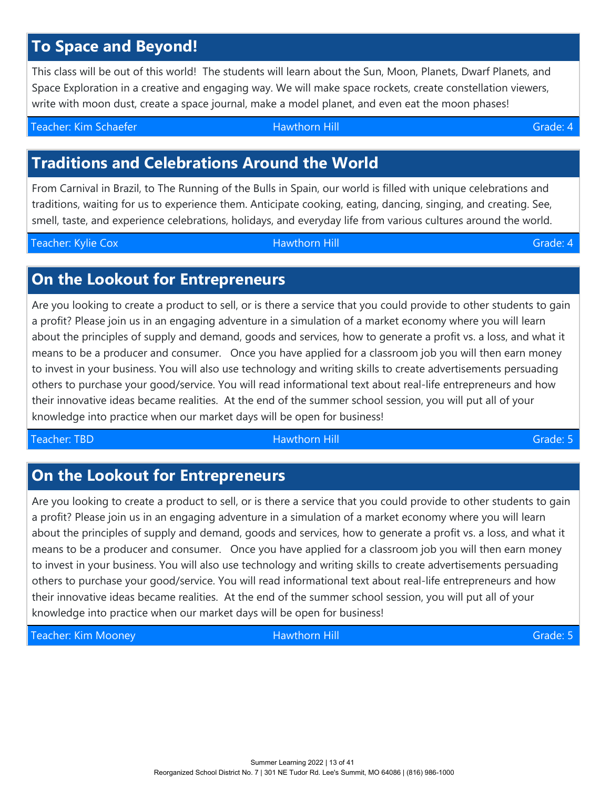# **To Space and Beyond!**

This class will be out of this world! The students will learn about the Sun, Moon, Planets, Dwarf Planets, and Space Exploration in a creative and engaging way. We will make space rockets, create constellation viewers, write with moon dust, create a space journal, make a model planet, and even eat the moon phases!

Teacher: Kim Schaefer Hawthorn Hill Grade: 4

# **Traditions and Celebrations Around the World**

From Carnival in Brazil, to The Running of the Bulls in Spain, our world is filled with unique celebrations and traditions, waiting for us to experience them. Anticipate cooking, eating, dancing, singing, and creating. See, smell, taste, and experience celebrations, holidays, and everyday life from various cultures around the world.

Teacher: Kylie Cox **Hawthorn Hill Grade: 4** Cox Grade: 4

# **On the Lookout for Entrepreneurs**

Are you looking to create a product to sell, or is there a service that you could provide to other students to gain a profit? Please join us in an engaging adventure in a simulation of a market economy where you will learn about the principles of supply and demand, goods and services, how to generate a profit vs. a loss, and what it means to be a producer and consumer. Once you have applied for a classroom job you will then earn money to invest in your business. You will also use technology and writing skills to create advertisements persuading others to purchase your good/service. You will read informational text about real-life entrepreneurs and how their innovative ideas became realities. At the end of the summer school session, you will put all of your knowledge into practice when our market days will be open for business!

#### Teacher: TBD Hawthorn Hill Grade: 5

# **On the Lookout for Entrepreneurs**

Are you looking to create a product to sell, or is there a service that you could provide to other students to gain a profit? Please join us in an engaging adventure in a simulation of a market economy where you will learn about the principles of supply and demand, goods and services, how to generate a profit vs. a loss, and what it means to be a producer and consumer. Once you have applied for a classroom job you will then earn money to invest in your business. You will also use technology and writing skills to create advertisements persuading others to purchase your good/service. You will read informational text about real-life entrepreneurs and how their innovative ideas became realities. At the end of the summer school session, you will put all of your knowledge into practice when our market days will be open for business!

Teacher: Kim Mooney National Grade: 5 National Hill Grade: 6 National Grade: 5 National Grade: 5 National Grade: 5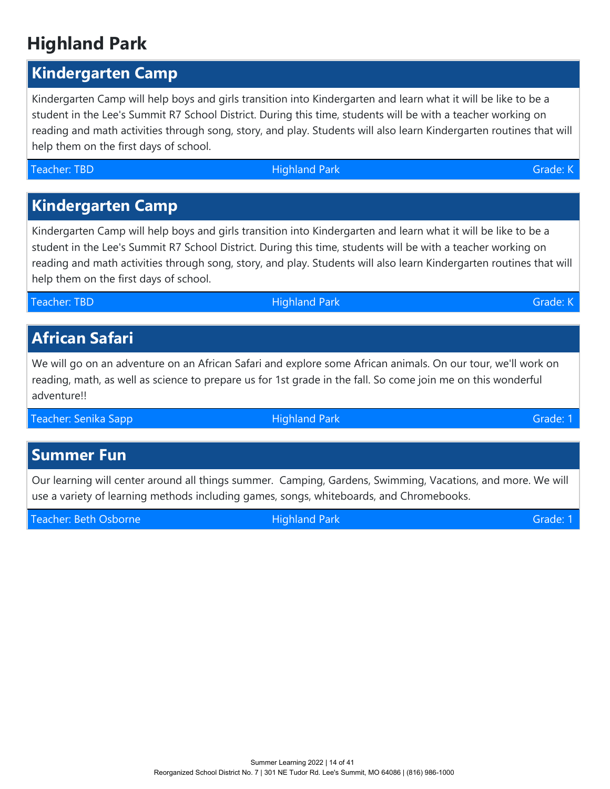# **Highland Park**

# **Kindergarten Camp**

Kindergarten Camp will help boys and girls transition into Kindergarten and learn what it will be like to be a student in the Lee's Summit R7 School District. During this time, students will be with a teacher working on reading and math activities through song, story, and play. Students will also learn Kindergarten routines that will help them on the first days of school.

Teacher: TBD Grade: KN Highland Park Grade: KN Highland Park Grade: K

# **Kindergarten Camp**

Kindergarten Camp will help boys and girls transition into Kindergarten and learn what it will be like to be a student in the Lee's Summit R7 School District. During this time, students will be with a teacher working on reading and math activities through song, story, and play. Students will also learn Kindergarten routines that will help them on the first days of school.

# **African Safari**

We will go on an adventure on an African Safari and explore some African animals. On our tour, we'll work on reading, math, as well as science to prepare us for 1st grade in the fall. So come join me on this wonderful adventure!!

Teacher: Senika Sapp **Highland Park Grade: 1** Senita Brade: 1

# **Summer Fun**

Our learning will center around all things summer. Camping, Gardens, Swimming, Vacations, and more. We will use a variety of learning methods including games, songs, whiteboards, and Chromebooks.

Teacher: Beth Osborne Highland Park Grade: 1

Teacher: TBD **Francisco Community Community** Highland Park Grade: King American Community Community Community Community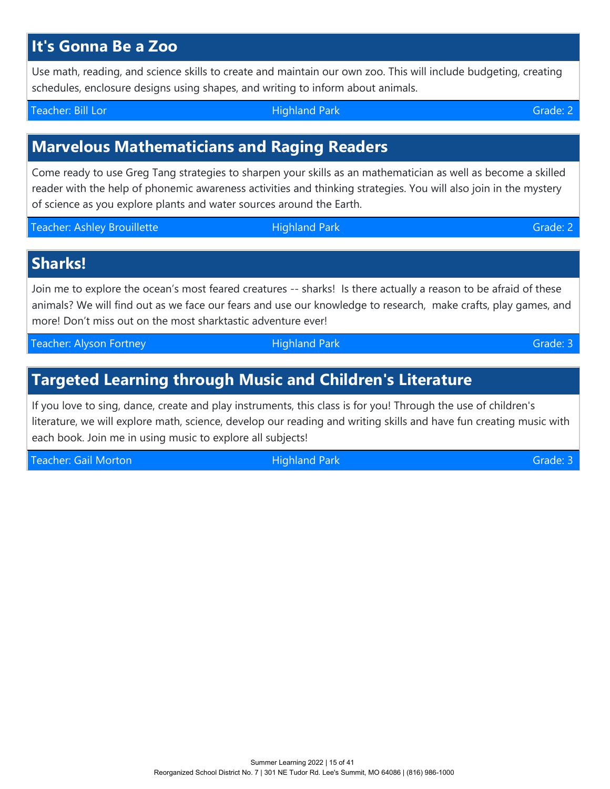# **It's Gonna Be a Zoo**

Use math, reading, and science skills to create and maintain our own zoo. This will include budgeting, creating schedules, enclosure designs using shapes, and writing to inform about animals.

Teacher: Bill Lor Highland Park Grade: 2

# **Marvelous Mathematicians and Raging Readers**

Come ready to use Greg Tang strategies to sharpen your skills as an mathematician as well as become a skilled reader with the help of phonemic awareness activities and thinking strategies. You will also join in the mystery of science as you explore plants and water sources around the Earth.

Teacher: Ashley Brouillette **Highland Park Grade: 2** Ashley Brouillette Ashley Brade: 2

**Sharks!**

Join me to explore the ocean's most feared creatures -- sharks! Is there actually a reason to be afraid of these animals? We will find out as we face our fears and use our knowledge to research, make crafts, play games, and more! Don't miss out on the most sharktastic adventure ever!

Teacher: Alyson Fortney **The Crame Community Highland Park** Grade: 3

# **Targeted Learning through Music and Children's Literature**

If you love to sing, dance, create and play instruments, this class is for you! Through the use of children's literature, we will explore math, science, develop our reading and writing skills and have fun creating music with each book. Join me in using music to explore all subjects!

Teacher: Gail Morton **Matter and Teacher: 3** Alighland Park Grade: 3 Alighed: 3 Alighed: 3 Alighed: 3 Alighed: 3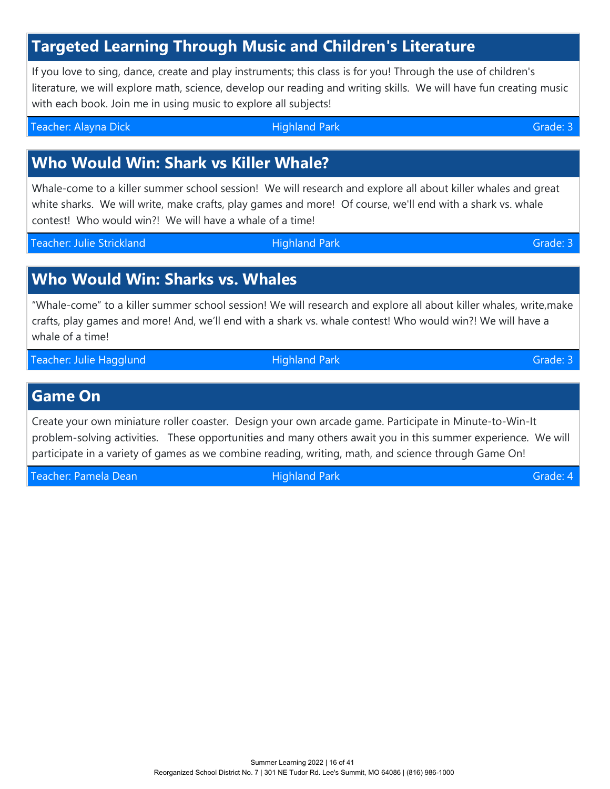# **Targeted Learning Through Music and Children's Literature**

If you love to sing, dance, create and play instruments; this class is for you! Through the use of children's literature, we will explore math, science, develop our reading and writing skills. We will have fun creating music with each book. Join me in using music to explore all subjects!

Teacher: Alayna Dick Highland Park Grade: 3

# **Who Would Win: Shark vs Killer Whale?**

Whale-come to a killer summer school session! We will research and explore all about killer whales and great white sharks. We will write, make crafts, play games and more! Of course, we'll end with a shark vs. whale contest! Who would win?! We will have a whale of a time!

Teacher: Julie Strickland Theorem Highland Park Grade: 3

# **Who Would Win: Sharks vs. Whales**

"Whale-come" to a killer summer school session! We will research and explore all about killer whales, write,make crafts, play games and more! And, we'll end with a shark vs. whale contest! Who would win?! We will have a whale of a time!

Teacher: Julie Hagglund **Highland Park Grade: 3** Grade: 3 Grade: 3 Grade: 3 Grade: 3 Grade: 3 Grade: 3 Grade: 3 Grade: 3 Grade: 3 Grade: 3 Grade: 3 Grade: 3 Grade: 3 Grade: 3 Grade: 3 Grade: 3 Grade: 3 Grade: 3 Grade: 3 Gr

#### **Game On**

Create your own miniature roller coaster. Design your own arcade game. Participate in Minute-to-Win-It problem-solving activities. These opportunities and many others await you in this summer experience. We will participate in a variety of games as we combine reading, writing, math, and science through Game On!

Teacher: Pamela Dean National Accords of Highland Park Grade: 4 Accords of Grade: 4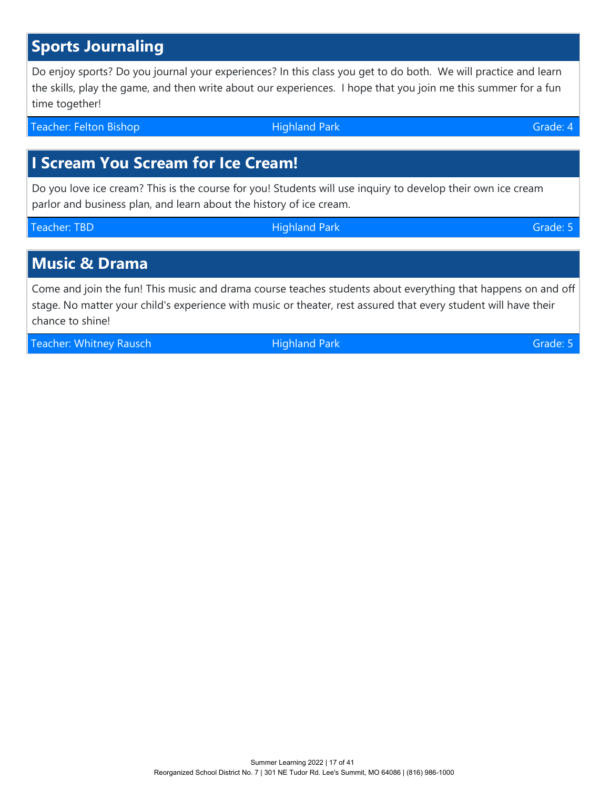# **I Scream You Scream for Ice Cream!**

Do you love ice cream? This is the course for you! Students will use inquiry to develop their own ice cream parlor and business plan, and learn about the history of ice cream.

Teacher: TBD **Francisco Community Community** Highland Park Grade: 5

# **Music & Drama**

Come and join the fun! This music and drama course teaches students about everything that happens on and off stage. No matter your child's experience with music or theater, rest assured that every student will have their chance to shine!

Teacher: Whitney Rausch **Matter and Teacher: Whitney Rausch Matter Area Highland Park** Grade: 5

Summer Learning 2022 | 17 of 41 Reorganized School District No. 7 | 301 NE Tudor Rd. Lee's Summit, MO 64086 | (816) 986-1000

**Sports Journaling**

Do enjoy sports? Do you journal your experiences? In this class you get to do both. We will practice and learn the skills, play the game, and then write about our experiences. I hope that you join me this summer for a fun time together!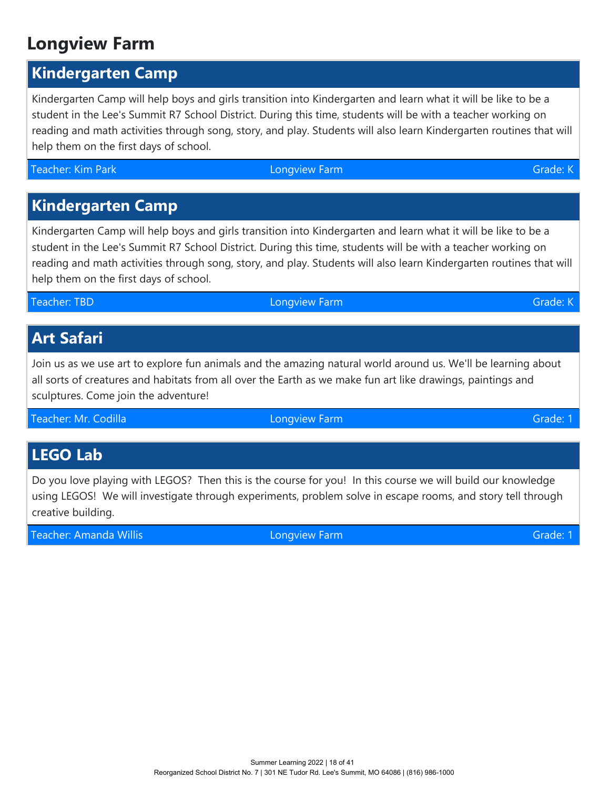# **Longview Farm**

# **Kindergarten Camp**

Kindergarten Camp will help boys and girls transition into Kindergarten and learn what it will be like to be a student in the Lee's Summit R7 School District. During this time, students will be with a teacher working on reading and math activities through song, story, and play. Students will also learn Kindergarten routines that will help them on the first days of school.

Teacher: Kim Park Grade: Komplette Longview Farm Grade: Grade: Komplette Longview Farm Grade: Komplette Longview Grade: K

# **Kindergarten Camp**

Kindergarten Camp will help boys and girls transition into Kindergarten and learn what it will be like to be a student in the Lee's Summit R7 School District. During this time, students will be with a teacher working on reading and math activities through song, story, and play. Students will also learn Kindergarten routines that will help them on the first days of school.

#### **Teacher: TBD** Congress of Congress Congress Congress Congress Congress Congress Congress Congress Congress Cong

# **Art Safari**

Join us as we use art to explore fun animals and the amazing natural world around us. We'll be learning about all sorts of creatures and habitats from all over the Earth as we make fun art like drawings, paintings and sculptures. Come join the adventure!

Teacher: Mr. Codilla Longview Farm Grade: 1

# **LEGO Lab**

Do you love playing with LEGOS? Then this is the course for you! In this course we will build our knowledge using LEGOS! We will investigate through experiments, problem solve in escape rooms, and story tell through creative building.

Teacher: Amanda Willis Longview Farm Grade: 1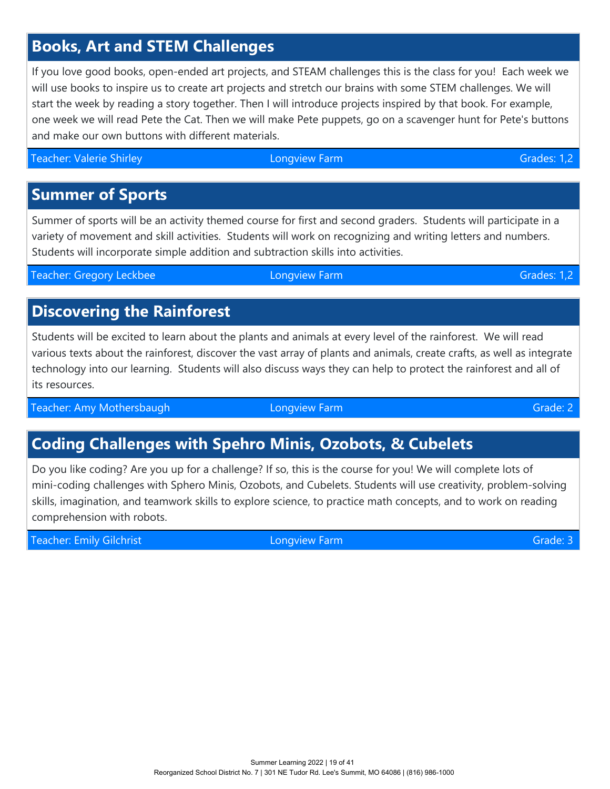# **Books, Art and STEM Challenges**

If you love good books, open-ended art projects, and STEAM challenges this is the class for you! Each week we will use books to inspire us to create art projects and stretch our brains with some STEM challenges. We will start the week by reading a story together. Then I will introduce projects inspired by that book. For example, one week we will read Pete the Cat. Then we will make Pete puppets, go on a scavenger hunt for Pete's buttons and make our own buttons with different materials.

Teacher: Valerie Shirley **Communist Communist Communist Communist Communist Communist Communist Communist Communist Communist Communist Communist Communist Communist Communist Communist Communist Communist Communist Commun** 

#### **Summer of Sports**

Summer of sports will be an activity themed course for first and second graders. Students will participate in a variety of movement and skill activities. Students will work on recognizing and writing letters and numbers. Students will incorporate simple addition and subtraction skills into activities.

Teacher: Gregory Leckbee Longview Farm Grades: 1,2

# **Discovering the Rainforest**

Students will be excited to learn about the plants and animals at every level of the rainforest. We will read various texts about the rainforest, discover the vast array of plants and animals, create crafts, as well as integrate technology into our learning. Students will also discuss ways they can help to protect the rainforest and all of its resources.

Teacher: Amy Mothersbaugh Longview Farm Channels Constantine Channels Constantine Channels Constantine Channel

# **Coding Challenges with Spehro Minis, Ozobots, & Cubelets**

Do you like coding? Are you up for a challenge? If so, this is the course for you! We will complete lots of mini-coding challenges with Sphero Minis, Ozobots, and Cubelets. Students will use creativity, problem-solving skills, imagination, and teamwork skills to explore science, to practice math concepts, and to work on reading comprehension with robots.

Teacher: Emily Gilchrist Longview Farm Longview Farm Grade: 3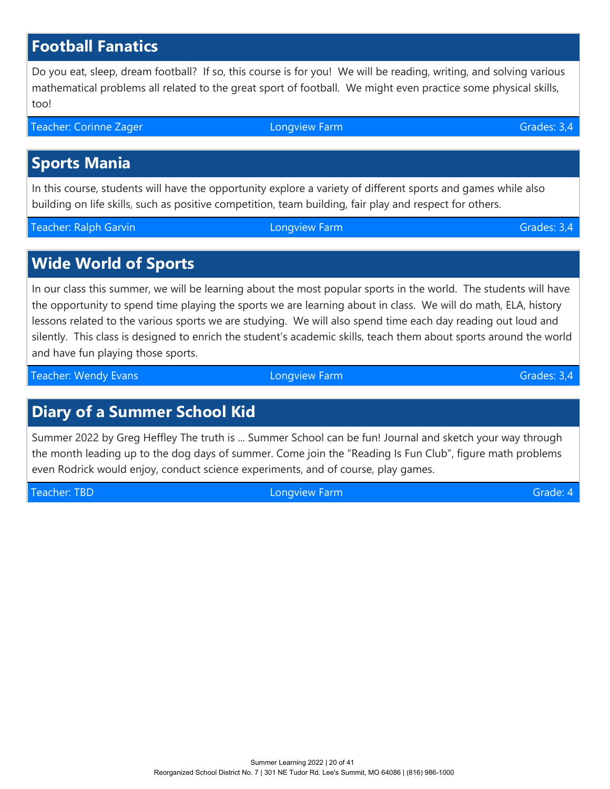# **Football Fanatics**

Do you eat, sleep, dream football? If so, this course is for you! We will be reading, writing, and solving various mathematical problems all related to the great sport of football. We might even practice some physical skills, too!

Teacher: Corinne Zager Longview Farm Constantine Care Grades: 3,4

# **Sports Mania**

In this course, students will have the opportunity explore a variety of different sports and games while also building on life skills, such as positive competition, team building, fair play and respect for others.

Teacher: Ralph Garvin Christian Christian Longview Farm Christian Christian Christian Christian Christian Christian Christian Christian Christian Christian Christian Christian Christian Christian Christian Christian Christ

### **Wide World of Sports**

In our class this summer, we will be learning about the most popular sports in the world. The students will have the opportunity to spend time playing the sports we are learning about in class. We will do math, ELA, history lessons related to the various sports we are studying. We will also spend time each day reading out loud and silently. This class is designed to enrich the student's academic skills, teach them about sports around the world and have fun playing those sports.

Teacher: Wendy Evans Longview Farm Grades: 3,4

# **Diary of a Summer School Kid**

Summer 2022 by Greg Heffley The truth is ... Summer School can be fun! Journal and sketch your way through the month leading up to the dog days of summer. Come join the "Reading Is Fun Club", figure math problems even Rodrick would enjoy, conduct science experiments, and of course, play games.

Teacher: TBD Longview Farm Grade: 4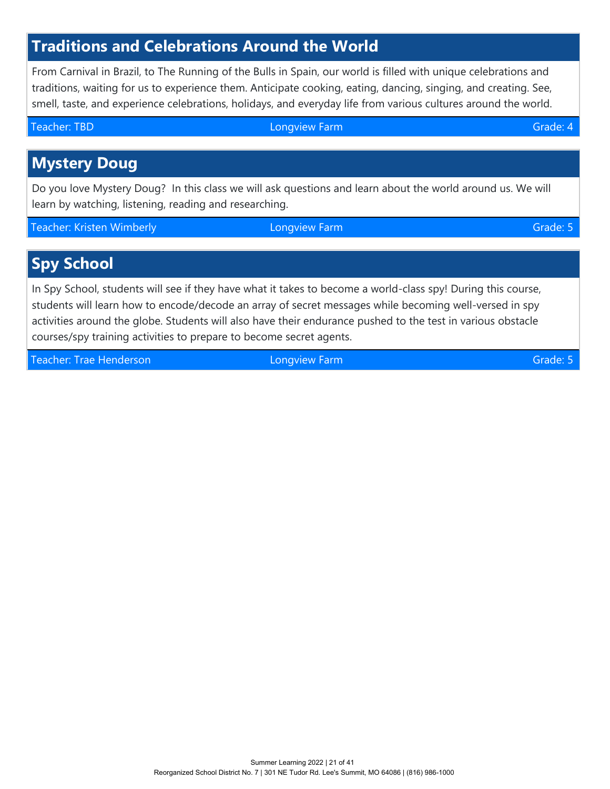# **Traditions and Celebrations Around the World**

From Carnival in Brazil, to The Running of the Bulls in Spain, our world is filled with unique celebrations and traditions, waiting for us to experience them. Anticipate cooking, eating, dancing, singing, and creating. See, smell, taste, and experience celebrations, holidays, and everyday life from various cultures around the world.

Teacher: TBD **Contract Contract Contract Contract Contract Contract Contract Contract Contract Contract Contract Contract Contract Contract Contract Contract Contract Contract Contract Contract Contract Contract Contract C Mystery Doug** Do you love Mystery Doug? In this class we will ask questions and learn about the world around us. We will learn by watching, listening, reading and researching. Teacher: Kristen Wimberly **Communist Communist Communist Communist Communist Communist Communist Communist Communist Communist Communist Communist Communist Communist Communist Communist Communist Communist Communist Commu Spy School** 

In Spy School, students will see if they have what it takes to become a world-class spy! During this course, students will learn how to encode/decode an array of secret messages while becoming well-versed in spy activities around the globe. Students will also have their endurance pushed to the test in various obstacle courses/spy training activities to prepare to become secret agents.

Teacher: Trae Henderson Longview Farm Grade: 5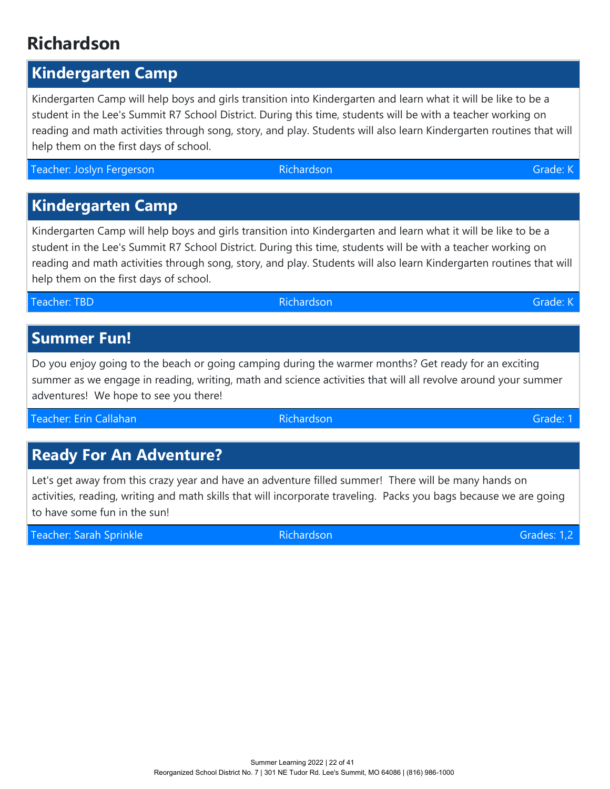#### Summer Learning 2022 | 22 of 41 Reorganized School District No. 7 | 301 NE Tudor Rd. Lee's Summit, MO 64086 | (816) 986-1000

# **Richardson**

## **Kindergarten Camp**

Kindergarten Camp will help boys and girls transition into Kindergarten and learn what it will be like to be a student in the Lee's Summit R7 School District. During this time, students will be with a teacher working on reading and math activities through song, story, and play. Students will also learn Kindergarten routines that will help them on the first days of school.

Teacher: Joslyn Fergerson Christian Christian Richardson Christian Christian Christian Christian Christian Christian

# **Kindergarten Camp**

Kindergarten Camp will help boys and girls transition into Kindergarten and learn what it will be like to be a student in the Lee's Summit R7 School District. During this time, students will be with a teacher working on reading and math activities through song, story, and play. Students will also learn Kindergarten routines that will help them on the first days of school.

Teacher: TBD Richardson Grade: K

## **Summer Fun!**

Do you enjoy going to the beach or going camping during the warmer months? Get ready for an exciting summer as we engage in reading, writing, math and science activities that will all revolve around your summer adventures! We hope to see you there!

Teacher: Erin Callahan Richardson Grade: 1

# **Ready For An Adventure?**

Let's get away from this crazy year and have an adventure filled summer! There will be many hands on activities, reading, writing and math skills that will incorporate traveling. Packs you bags because we are going to have some fun in the sun!

Teacher: Sarah Sprinkle Richardson Grades: 1,2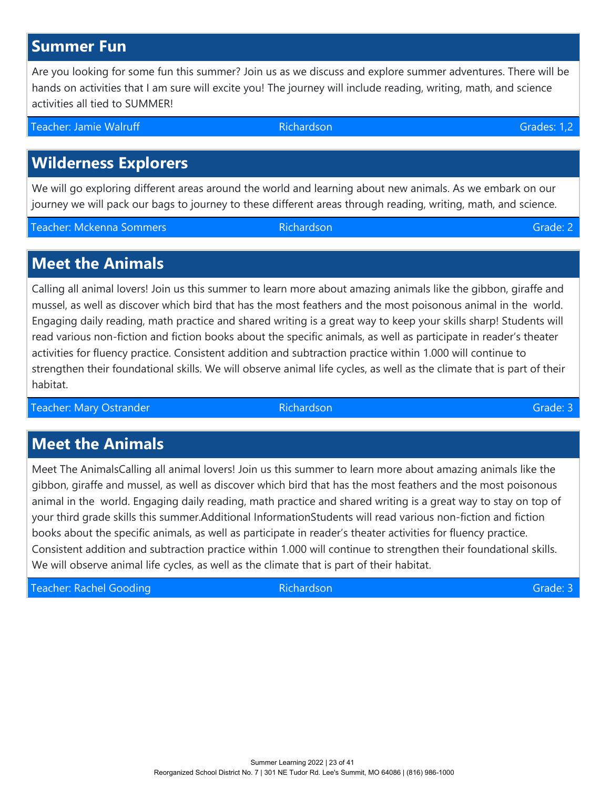## **Summer Fun**

Are you looking for some fun this summer? Join us as we discuss and explore summer adventures. There will be hands on activities that I am sure will excite you! The journey will include reading, writing, math, and science activities all tied to SUMMER!

Teacher: Jamie Walruff Richardson Grades: 1,2

# **Wilderness Explorers**

We will go exploring different areas around the world and learning about new animals. As we embark on our journey we will pack our bags to journey to these different areas through reading, writing, math, and science.

Teacher: Mckenna Sommers Richardson Grade: 2

#### **Meet the Animals**

Calling all animal lovers! Join us this summer to learn more about amazing animals like the gibbon, giraffe and mussel, as well as discover which bird that has the most feathers and the most poisonous animal in the world. Engaging daily reading, math practice and shared writing is a great way to keep your skills sharp! Students will read various non-fiction and fiction books about the specific animals, as well as participate in reader's theater activities for fluency practice. Consistent addition and subtraction practice within 1.000 will continue to strengthen their foundational skills. We will observe animal life cycles, as well as the climate that is part of their habitat.

Teacher: Mary Ostrander Richardson Grade: 3 Alexander Grade: 3 Alexander Grade: 3 Alexander Grade: 3 Alexander

# **Meet the Animals**

Meet The AnimalsCalling all animal lovers! Join us this summer to learn more about amazing animals like the gibbon, giraffe and mussel, as well as discover which bird that has the most feathers and the most poisonous animal in the world. Engaging daily reading, math practice and shared writing is a great way to stay on top of your third grade skills this summer.Additional InformationStudents will read various non-fiction and fiction books about the specific animals, as well as participate in reader's theater activities for fluency practice. Consistent addition and subtraction practice within 1.000 will continue to strengthen their foundational skills. We will observe animal life cycles, as well as the climate that is part of their habitat.

Teacher: Rachel Gooding Richardson Grade: 3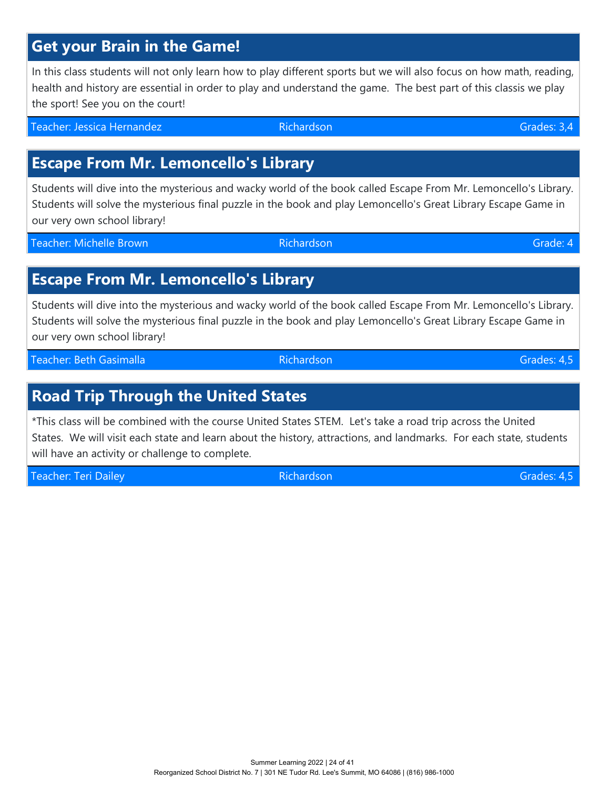# **Get your Brain in the Game!**

In this class students will not only learn how to play different sports but we will also focus on how math, reading, health and history are essential in order to play and understand the game. The best part of this classis we play the sport! See you on the court!

Teacher: Jessica Hernandez Richardson Grades: 3,4

### **Escape From Mr. Lemoncello's Library**

Students will dive into the mysterious and wacky world of the book called Escape From Mr. Lemoncello's Library. Students will solve the mysterious final puzzle in the book and play Lemoncello's Great Library Escape Game in our very own school library!

Teacher: Michelle Brown **Richardson** Brown Richardson **Richardson** Brown Brown Grade: 4

#### **Escape From Mr. Lemoncello's Library**

Students will dive into the mysterious and wacky world of the book called Escape From Mr. Lemoncello's Library. Students will solve the mysterious final puzzle in the book and play Lemoncello's Great Library Escape Game in our very own school library!

Teacher: Beth Gasimalla **Richardson** Grades: 4,5

### **Road Trip Through the United States**

\*This class will be combined with the course United States STEM. Let's take a road trip across the United States. We will visit each state and learn about the history, attractions, and landmarks. For each state, students will have an activity or challenge to complete.

Teacher: Teri Dailey و Grades: 4,5 بالمستخدم المستخدم المستخدم المستخدم المستخدم المستخدم المستخدم المستخدم ال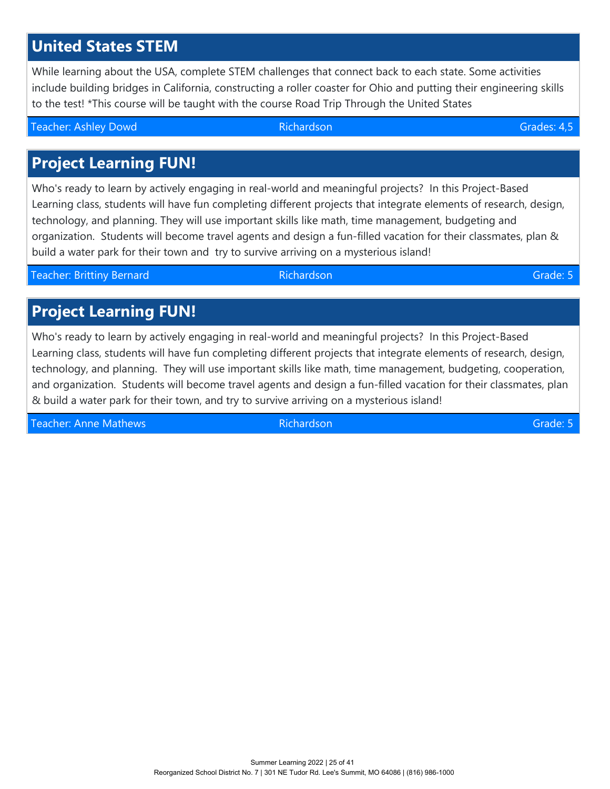#### Summer Learning 2022 | 25 of 41 Reorganized School District No. 7 | 301 NE Tudor Rd. Lee's Summit, MO 64086 | (816) 986-1000

# **United States STEM**

While learning about the USA, complete STEM challenges that connect back to each state. Some activities include building bridges in California, constructing a roller coaster for Ohio and putting their engineering skills to the test! \*This course will be taught with the course Road Trip Through the United States

Teacher: Ashley Dowd Richardson Grades: 4,5

# **Project Learning FUN!**

Who's ready to learn by actively engaging in real-world and meaningful projects? In this Project-Based Learning class, students will have fun completing different projects that integrate elements of research, design, technology, and planning. They will use important skills like math, time management, budgeting and organization. Students will become travel agents and design a fun-filled vacation for their classmates, plan & build a water park for their town and try to survive arriving on a mysterious island!

Teacher: Brittiny Bernard Richardson Grade: 5

# **Project Learning FUN!**

Who's ready to learn by actively engaging in real-world and meaningful projects? In this Project-Based Learning class, students will have fun completing different projects that integrate elements of research, design, technology, and planning. They will use important skills like math, time management, budgeting, cooperation, and organization. Students will become travel agents and design a fun-filled vacation for their classmates, plan & build a water park for their town, and try to survive arriving on a mysterious island!

Teacher: Anne Mathews Richardson Grade: 5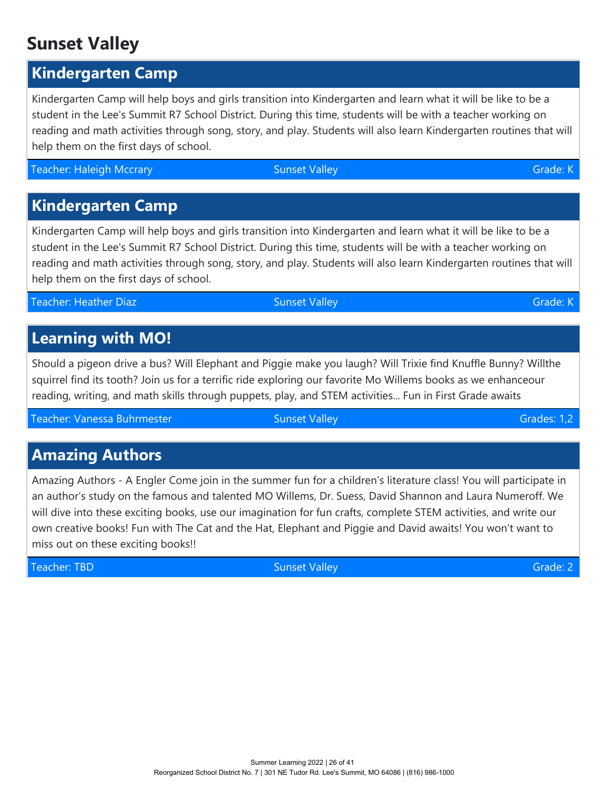# **Sunset Valley**

# **Kindergarten Camp**

Kindergarten Camp will help boys and girls transition into Kindergarten and learn what it will be like to be a student in the Lee's Summit R7 School District. During this time, students will be with a teacher working on reading and math activities through song, story, and play. Students will also learn Kindergarten routines that will help them on the first days of school.

Teacher: Haleigh Mccrary Sunset Valley Sunset Valley Sunset Valley Sunset Valley Sunset Valley Sunset Valley Grade: K

# **Kindergarten Camp**

Kindergarten Camp will help boys and girls transition into Kindergarten and learn what it will be like to be a student in the Lee's Summit R7 School District. During this time, students will be with a teacher working on reading and math activities through song, story, and play. Students will also learn Kindergarten routines that will help them on the first days of school.

Teacher: Heather Diaz New York: Sunset Valley Sunset Valley Grade: K

# **Learning with MO!**

Should a pigeon drive a bus? Will Elephant and Piggie make you laugh? Will Trixie find Knuffle Bunny? Willthe squirrel find its tooth? Join us for a terrific ride exploring our favorite Mo Willems books as we enhanceour reading, writing, and math skills through puppets, play, and STEM activities... Fun in First Grade awaits

Teacher: Vanessa Buhrmester Sunset Valley Grades: 1,2

# **Amazing Authors**

Amazing Authors - A Engler Come join in the summer fun for a children's literature class! You will participate in an author's study on the famous and talented MO Willems, Dr. Suess, David Shannon and Laura Numeroff. We will dive into these exciting books, use our imagination for fun crafts, complete STEM activities, and write our own creative books! Fun with The Cat and the Hat, Elephant and Piggie and David awaits! You won't want to miss out on these exciting books!!

Teacher: TBD Sunset Valley Grade: 2

Summer Learning 2022 | 26 of 41 Reorganized School District No. 7 | 301 NE Tudor Rd. Lee's Summit, MO 64086 | (816) 986-1000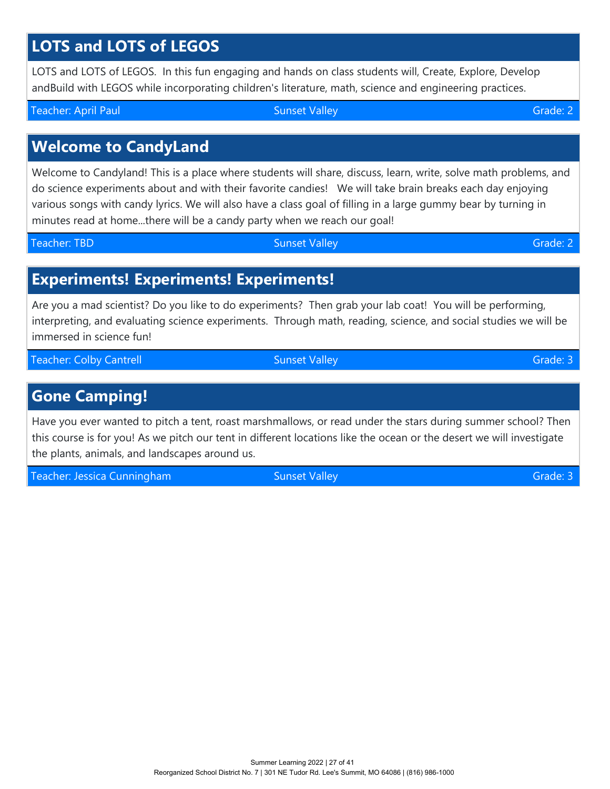# **LOTS and LOTS of LEGOS**

LOTS and LOTS of LEGOS. In this fun engaging and hands on class students will, Create, Explore, Develop andBuild with LEGOS while incorporating children's literature, math, science and engineering practices.

# **Welcome to CandyLand**

Welcome to Candyland! This is a place where students will share, discuss, learn, write, solve math problems, and do science experiments about and with their favorite candies! We will take brain breaks each day enjoying various songs with candy lyrics. We will also have a class goal of filling in a large gummy bear by turning in minutes read at home...there will be a candy party when we reach our goal!

Teacher: TBD Sunset Valley Grade: 2

# **Experiments! Experiments! Experiments!**

Are you a mad scientist? Do you like to do experiments? Then grab your lab coat! You will be performing, interpreting, and evaluating science experiments. Through math, reading, science, and social studies we will be immersed in science fun!

Teacher: Colby Cantrell Sunset Valley Grade: 3

### **Gone Camping!**

Have you ever wanted to pitch a tent, roast marshmallows, or read under the stars during summer school? Then this course is for you! As we pitch our tent in different locations like the ocean or the desert we will investigate the plants, animals, and landscapes around us.

Teacher: Jessica Cunningham Sunset Valley Grade: 3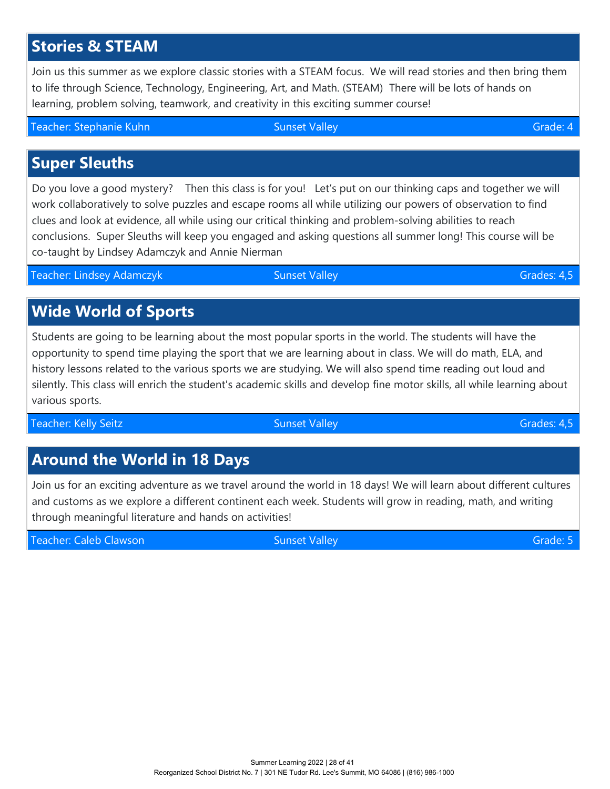# **Stories & STEAM**

Join us this summer as we explore classic stories with a STEAM focus. We will read stories and then bring them to life through Science, Technology, Engineering, Art, and Math. (STEAM) There will be lots of hands on learning, problem solving, teamwork, and creativity in this exciting summer course!

Teacher: Stephanie Kuhn Sunset Valley Grade: 4

# **Super Sleuths**

Do you love a good mystery? Then this class is for you! Let's put on our thinking caps and together we will work collaboratively to solve puzzles and escape rooms all while utilizing our powers of observation to find clues and look at evidence, all while using our critical thinking and problem-solving abilities to reach conclusions. Super Sleuths will keep you engaged and asking questions all summer long! This course will be co-taught by Lindsey Adamczyk and Annie Nierman

Teacher: Lindsey Adamczyk Sunset Valley Grades: 4,5

# **Wide World of Sports**

Students are going to be learning about the most popular sports in the world. The students will have the opportunity to spend time playing the sport that we are learning about in class. We will do math, ELA, and history lessons related to the various sports we are studying. We will also spend time reading out loud and silently. This class will enrich the student's academic skills and develop fine motor skills, all while learning about various sports.

Teacher: Kelly Seitz Sunset Valley Grades: 4,5

# **Around the World in 18 Days**

Join us for an exciting adventure as we travel around the world in 18 days! We will learn about different cultures and customs as we explore a different continent each week. Students will grow in reading, math, and writing through meaningful literature and hands on activities!

Teacher: Caleb Clawson Sunset Valley Grade: 5 Sunset Valley Grade: 5 Sunset Valley Grade: 5

Summer Learning 2022 | 28 of 41 Reorganized School District No. 7 | 301 NE Tudor Rd. Lee's Summit, MO 64086 | (816) 986-1000

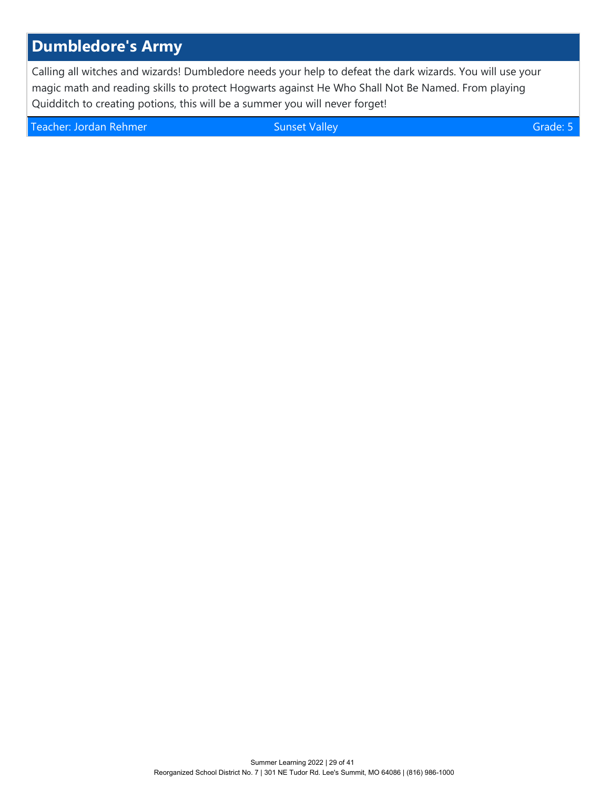# **Dumbledore's Army**

Calling all witches and wizards! Dumbledore needs your help to defeat the dark wizards. You will use your magic math and reading skills to protect Hogwarts against He Who Shall Not Be Named. From playing Quidditch to creating potions, this will be a summer you will never forget!

Teacher: Jordan Rehmer Sunset Valley Grade: 5 Sunset Valley Grade: 5 Sunset Valley Grade: 5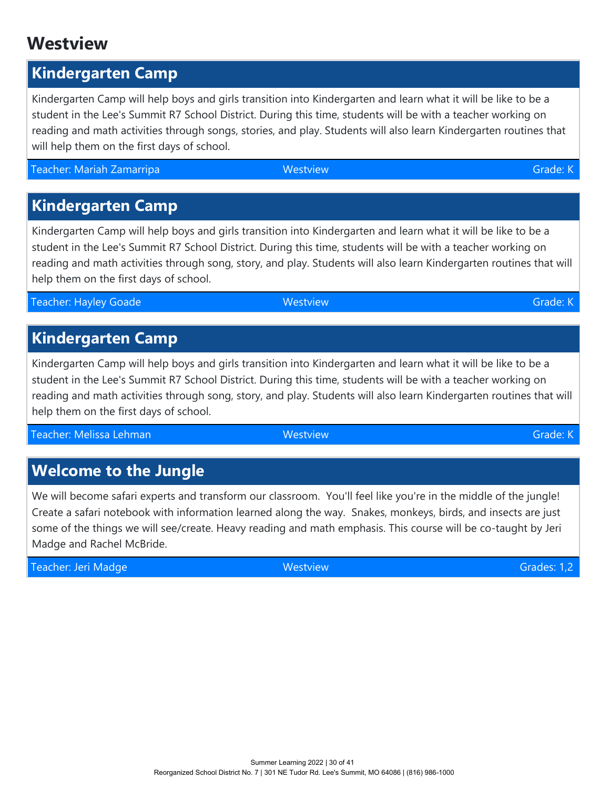# **Westview**

# **Kindergarten Camp**

Kindergarten Camp will help boys and girls transition into Kindergarten and learn what it will be like to be a student in the Lee's Summit R7 School District. During this time, students will be with a teacher working on reading and math activities through songs, stories, and play. Students will also learn Kindergarten routines that will help them on the first days of school.

Teacher: Mariah Zamarripa Westview Grade: K

**Kindergarten Camp**

Kindergarten Camp will help boys and girls transition into Kindergarten and learn what it will be like to be a student in the Lee's Summit R7 School District. During this time, students will be with a teacher working on reading and math activities through song, story, and play. Students will also learn Kindergarten routines that will help them on the first days of school.

Teacher: Hayley Goade Westview Grade: K

# **Kindergarten Camp**

Kindergarten Camp will help boys and girls transition into Kindergarten and learn what it will be like to be a student in the Lee's Summit R7 School District. During this time, students will be with a teacher working on reading and math activities through song, story, and play. Students will also learn Kindergarten routines that will help them on the first days of school.

Teacher: Melissa Lehman Westview Grade: K

# **Welcome to the Jungle**

We will become safari experts and transform our classroom. You'll feel like you're in the middle of the jungle! Create a safari notebook with information learned along the way. Snakes, monkeys, birds, and insects are just some of the things we will see/create. Heavy reading and math emphasis. This course will be co-taught by Jeri Madge and Rachel McBride.

Teacher: Jeri Madge Westview Grades: 1,2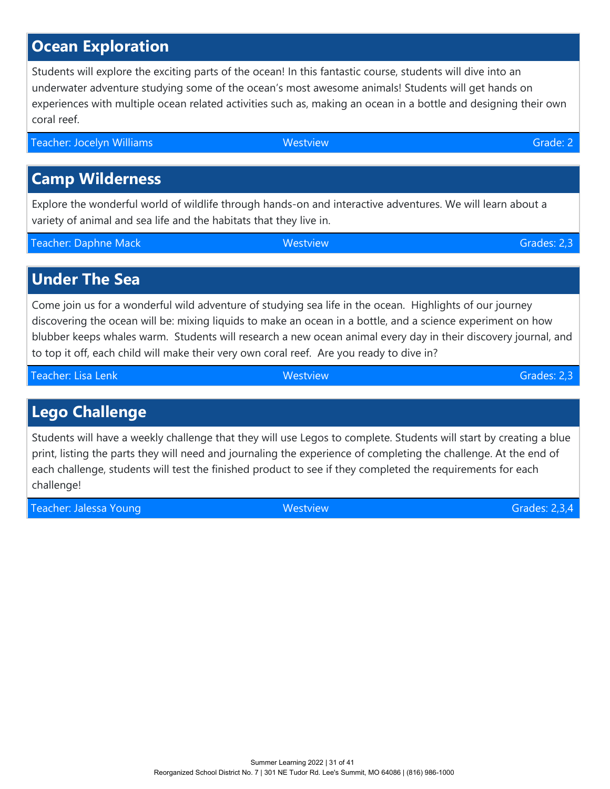# **Ocean Exploration**

Students will explore the exciting parts of the ocean! In this fantastic course, students will dive into an underwater adventure studying some of the ocean's most awesome animals! Students will get hands on experiences with multiple ocean related activities such as, making an ocean in a bottle and designing their own coral reef.

Teacher: Jocelyn Williams Westview Grade: 2

# **Camp Wilderness**

Explore the wonderful world of wildlife through hands-on and interactive adventures. We will learn about a variety of animal and sea life and the habitats that they live in.

Teacher: Daphne Mack Grades: 2,3

**Under The Sea**

Come join us for a wonderful wild adventure of studying sea life in the ocean. Highlights of our journey discovering the ocean will be: mixing liquids to make an ocean in a bottle, and a science experiment on how blubber keeps whales warm. Students will research a new ocean animal every day in their discovery journal, and to top it off, each child will make their very own coral reef. Are you ready to dive in?

Teacher: Lisa Lenk Westview Grades: 2,3

# **Lego Challenge**

Students will have a weekly challenge that they will use Legos to complete. Students will start by creating a blue print, listing the parts they will need and journaling the experience of completing the challenge. At the end of each challenge, students will test the finished product to see if they completed the requirements for each challenge!

Teacher: Jalessa Young Westview Grades: 2,3,4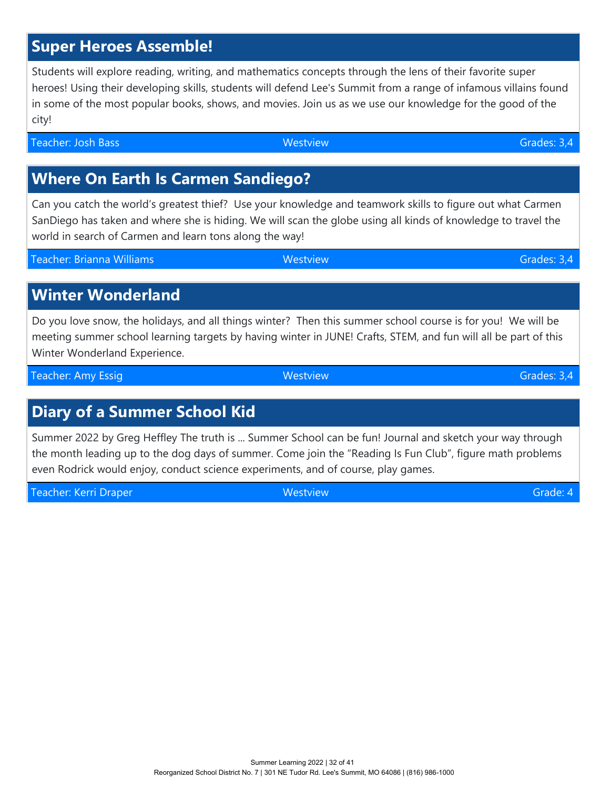# **Super Heroes Assemble!**

Students will explore reading, writing, and mathematics concepts through the lens of their favorite super heroes! Using their developing skills, students will defend Lee's Summit from a range of infamous villains found in some of the most popular books, shows, and movies. Join us as we use our knowledge for the good of the city!

Teacher: Josh Bass Grades: 3,4

# **Where On Earth Is Carmen Sandiego?**

Can you catch the world's greatest thief? Use your knowledge and teamwork skills to figure out what Carmen SanDiego has taken and where she is hiding. We will scan the globe using all kinds of knowledge to travel the world in search of Carmen and learn tons along the way!

Teacher: Brianna Williams Westview Grades: 3,4

# **Winter Wonderland**

Do you love snow, the holidays, and all things winter? Then this summer school course is for you! We will be meeting summer school learning targets by having winter in JUNE! Crafts, STEM, and fun will all be part of this Winter Wonderland Experience.

Teacher: Amy Essig Westview Grades: 3,4

# **Diary of a Summer School Kid**

Summer 2022 by Greg Heffley The truth is ... Summer School can be fun! Journal and sketch your way through the month leading up to the dog days of summer. Come join the "Reading Is Fun Club", figure math problems even Rodrick would enjoy, conduct science experiments, and of course, play games.

Teacher: Kerri Draper Westview Grade: 4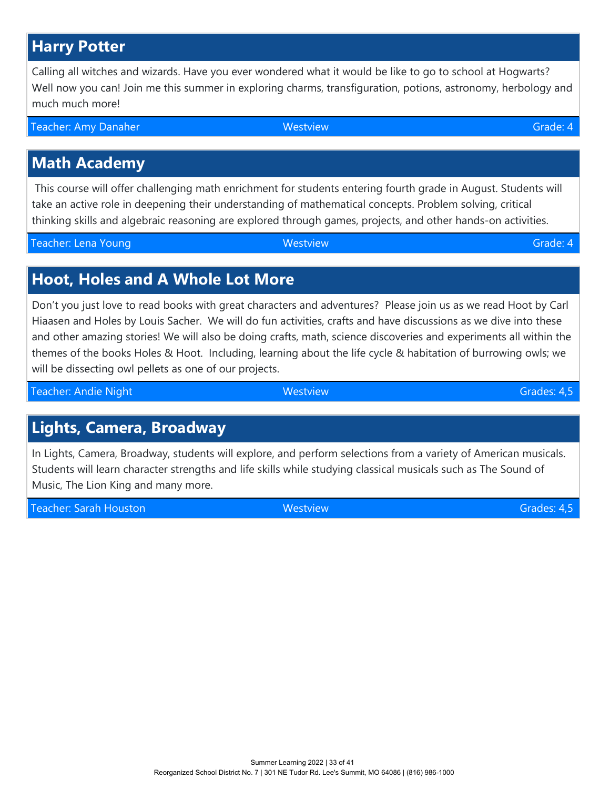# **Harry Potter**

Calling all witches and wizards. Have you ever wondered what it would be like to go to school at Hogwarts? Well now you can! Join me this summer in exploring charms, transfiguration, potions, astronomy, herbology and much much more!

Teacher: Amy Danaher Grade: 4 Nestview Grade: 4 Nestview Grade: 4 Nestview Grade: 4 Nestview Grade: 4

#### **Math Academy**

 This course will offer challenging math enrichment for students entering fourth grade in August. Students will take an active role in deepening their understanding of mathematical concepts. Problem solving, critical thinking skills and algebraic reasoning are explored through games, projects, and other hands-on activities.

Teacher: Lena Young Westview Grade: 4

#### **Hoot, Holes and A Whole Lot More**

Don't you just love to read books with great characters and adventures? Please join us as we read Hoot by Carl Hiaasen and Holes by Louis Sacher. We will do fun activities, crafts and have discussions as we dive into these and other amazing stories! We will also be doing crafts, math, science discoveries and experiments all within the themes of the books Holes & Hoot. Including, learning about the life cycle & habitation of burrowing owls; we will be dissecting owl pellets as one of our projects.

Teacher: Andie Night Westview Grades: 4,5

### **Lights, Camera, Broadway**

In Lights, Camera, Broadway, students will explore, and perform selections from a variety of American musicals. Students will learn character strengths and life skills while studying classical musicals such as The Sound of Music, The Lion King and many more.

Teacher: Sarah Houston Westview Grades: 4,5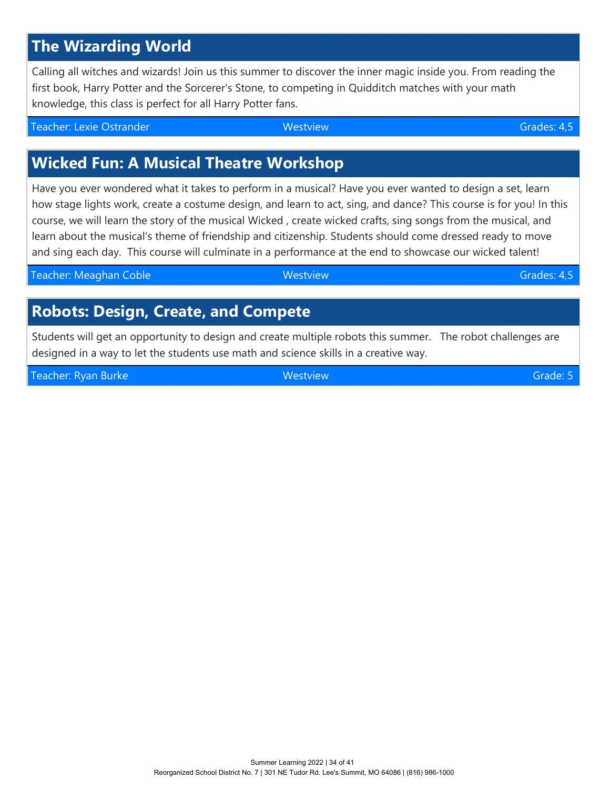# **The Wizarding World**

Calling all witches and wizards! Join us this summer to discover the inner magic inside you. From reading the first book, Harry Potter and the Sorcerer's Stone, to competing in Quidditch matches with your math knowledge, this class is perfect for all Harry Potter fans.

Teacher: Lexie Ostrander Westview Grades: 4,5

# **Wicked Fun: A Musical Theatre Workshop**

Have you ever wondered what it takes to perform in a musical? Have you ever wanted to design a set, learn how stage lights work, create a costume design, and learn to act, sing, and dance? This course is for you! In this course, we will learn the story of the musical Wicked , create wicked crafts, sing songs from the musical, and learn about the musical's theme of friendship and citizenship. Students should come dressed ready to move and sing each day. This course will culminate in a performance at the end to showcase our wicked talent!

| Teacher: Meaghan Coble | Westview | Grades: 4,5 |
|------------------------|----------|-------------|
|                        |          |             |

### **Robots: Design, Create, and Compete**

Students will get an opportunity to design and create multiple robots this summer. The robot challenges are designed in a way to let the students use math and science skills in a creative way.

Teacher: Ryan Burke Westview Grade: 5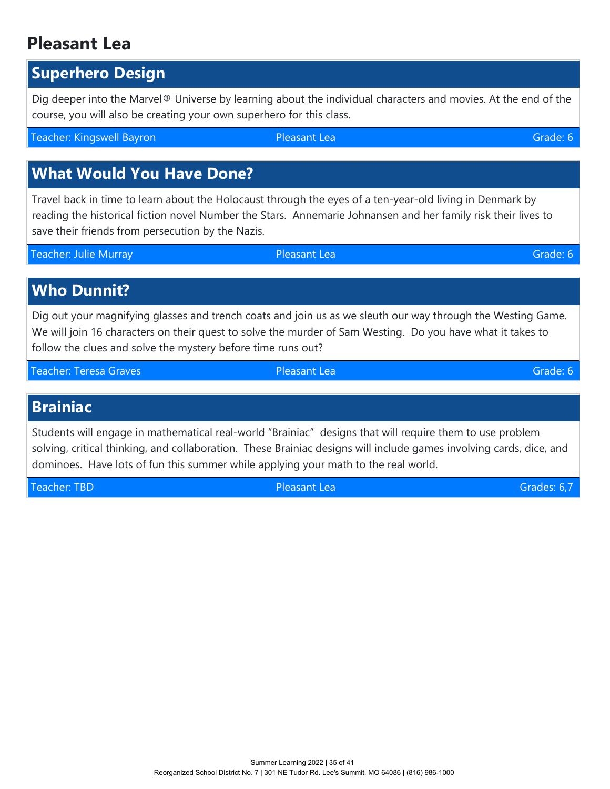# **Pleasant Lea**

#### **Superhero Design**

Dig deeper into the Marvel® Universe by learning about the individual characters and movies. At the end of the course, you will also be creating your own superhero for this class.

Teacher: Kingswell Bayron Pleasant Lea Grade: 6

# **What Would You Have Done?**

Travel back in time to learn about the Holocaust through the eyes of a ten-year-old living in Denmark by reading the historical fiction novel Number the Stars. Annemarie Johnansen and her family risk their lives to save their friends from persecution by the Nazis.

Teacher: Julie Murray Pleasant Lea Grade: 6

**Who Dunnit?**

Dig out your magnifying glasses and trench coats and join us as we sleuth our way through the Westing Game. We will join 16 characters on their quest to solve the murder of Sam Westing. Do you have what it takes to follow the clues and solve the mystery before time runs out?

Teacher: Teresa Graves Pleasant Lea Grade: 6

#### **Brainiac**

Students will engage in mathematical real-world "Brainiac" designs that will require them to use problem solving, critical thinking, and collaboration. These Brainiac designs will include games involving cards, dice, and dominoes. Have lots of fun this summer while applying your math to the real world.

Teacher: TBD Pleasant Lea Grades: 6,7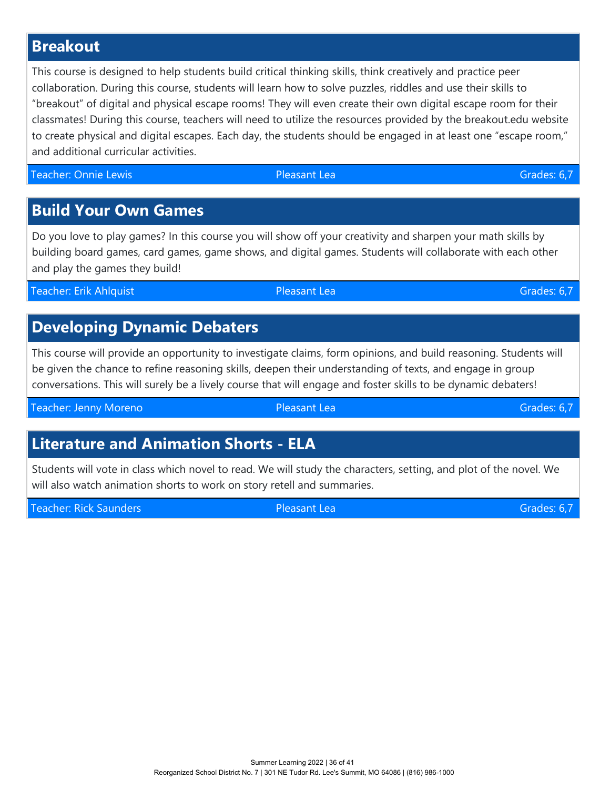## **Breakout**

This course is designed to help students build critical thinking skills, think creatively and practice peer collaboration. During this course, students will learn how to solve puzzles, riddles and use their skills to "breakout" of digital and physical escape rooms! They will even create their own digital escape room for their classmates! During this course, teachers will need to utilize the resources provided by the breakout.edu website to create physical and digital escapes. Each day, the students should be engaged in at least one "escape room," and additional curricular activities.

Teacher: Onnie Lewis **Communist Communist Communist Communist Communist Communist Communist Communist Communist Communist Communist Communist Communist Communist Communist Communist Communist Communist Communist Communist** 

#### **Build Your Own Games**

Do you love to play games? In this course you will show off your creativity and sharpen your math skills by building board games, card games, game shows, and digital games. Students will collaborate with each other and play the games they build!

Teacher: Erik Ahlquist Pleasant Lea Grades: 6,7

### **Developing Dynamic Debaters**

This course will provide an opportunity to investigate claims, form opinions, and build reasoning. Students will be given the chance to refine reasoning skills, deepen their understanding of texts, and engage in group conversations. This will surely be a lively course that will engage and foster skills to be dynamic debaters!

Teacher: Jenny Moreno **Calculation Community Pleasant Lea** Grades: 6,7

# **Literature and Animation Shorts - ELA**

Students will vote in class which novel to read. We will study the characters, setting, and plot of the novel. We will also watch animation shorts to work on story retell and summaries.

Teacher: Rick Saunders **Pleasant Lea Grades: 6,7** Crades: 6,7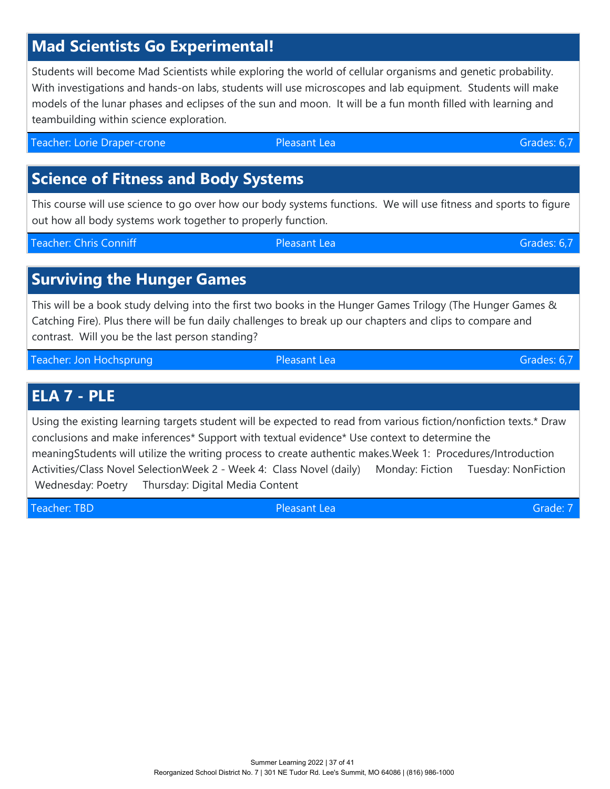# **Mad Scientists Go Experimental!**

Students will become Mad Scientists while exploring the world of cellular organisms and genetic probability. With investigations and hands-on labs, students will use microscopes and lab equipment. Students will make models of the lunar phases and eclipses of the sun and moon. It will be a fun month filled with learning and teambuilding within science exploration.

Teacher: Lorie Draper-crone **Contract Contract Contract Contract Contract Contract Contract Contract Contract Contract Contract Contract Contract Contract Contract Contract Contract Contract Contract Contract Contract Cont** 

# **Science of Fitness and Body Systems**

This course will use science to go over how our body systems functions. We will use fitness and sports to figure out how all body systems work together to properly function.

Teacher: Chris Conniff **Pleasant Lea Pleasant Lea** Grades: 6,7

# **Surviving the Hunger Games**

This will be a book study delving into the first two books in the Hunger Games Trilogy (The Hunger Games & Catching Fire). Plus there will be fun daily challenges to break up our chapters and clips to compare and contrast. Will you be the last person standing?

Teacher: Jon Hochsprung Pleasant Lea Grades: 6,7

#### **ELA 7 - PLE**

Using the existing learning targets student will be expected to read from various fiction/nonfiction texts.\* Draw conclusions and make inferences\* Support with textual evidence\* Use context to determine the meaningStudents will utilize the writing process to create authentic makes.Week 1: Procedures/Introduction Activities/Class Novel SelectionWeek 2 - Week 4: Class Novel (daily) Monday: Fiction Tuesday: NonFiction Wednesday: Poetry Thursday: Digital Media Content

Teacher: TBD **Pleasant Lea Grade: 7** Cambridge Controllering Controllering Controllering Controllering Controllering Controllering Controllering Controllering Controllering Controllering Controllering Controllering Control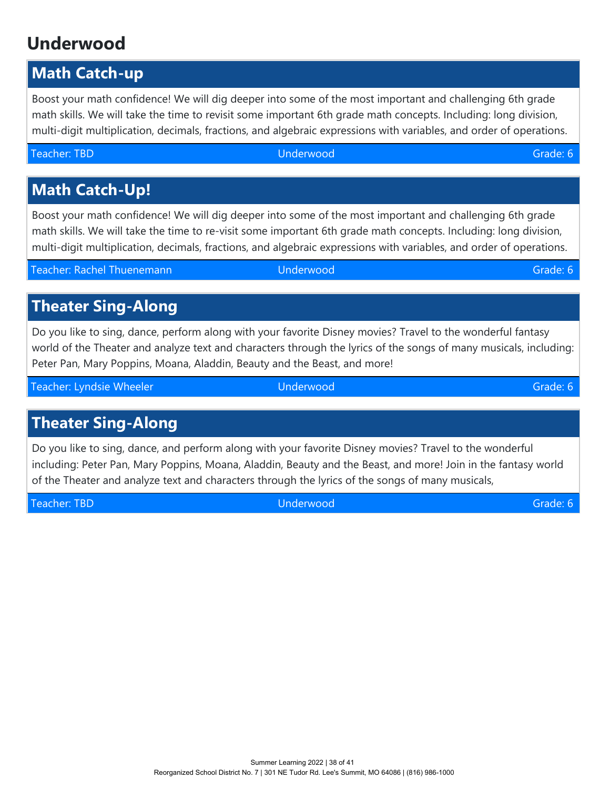# **Underwood**

# **Math Catch-up**

Boost your math confidence! We will dig deeper into some of the most important and challenging 6th grade math skills. We will take the time to revisit some important 6th grade math concepts. Including: long division, multi-digit multiplication, decimals, fractions, and algebraic expressions with variables, and order of operations.

#### Teacher: TBD Underwood Grade: 6

# **Math Catch-Up!**

Boost your math confidence! We will dig deeper into some of the most important and challenging 6th grade math skills. We will take the time to re-visit some important 6th grade math concepts. Including: long division, multi-digit multiplication, decimals, fractions, and algebraic expressions with variables, and order of operations.

Teacher: Rachel Thuenemann Underwood Grade: 6

# **Theater Sing-Along**

Do you like to sing, dance, perform along with your favorite Disney movies? Travel to the wonderful fantasy world of the Theater and analyze text and characters through the lyrics of the songs of many musicals, including: Peter Pan, Mary Poppins, Moana, Aladdin, Beauty and the Beast, and more!

Teacher: Lyndsie Wheeler New York (Underwood Grade: 6 New York (Grade: 6 New York 1998)

# **Theater Sing-Along**

Do you like to sing, dance, and perform along with your favorite Disney movies? Travel to the wonderful including: Peter Pan, Mary Poppins, Moana, Aladdin, Beauty and the Beast, and more! Join in the fantasy world of the Theater and analyze text and characters through the lyrics of the songs of many musicals,

Teacher: TBD Underwood Grade: 6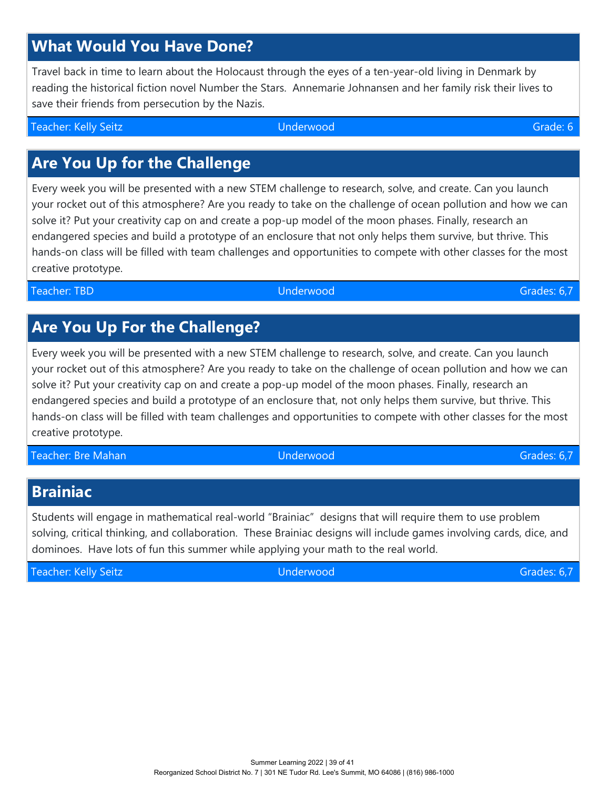# **What Would You Have Done?**

Travel back in time to learn about the Holocaust through the eyes of a ten-year-old living in Denmark by reading the historical fiction novel Number the Stars. Annemarie Johnansen and her family risk their lives to save their friends from persecution by the Nazis.

Teacher: Kelly Seitz Underwood Grade: 6

# **Are You Up for the Challenge**

Every week you will be presented with a new STEM challenge to research, solve, and create. Can you launch your rocket out of this atmosphere? Are you ready to take on the challenge of ocean pollution and how we can solve it? Put your creativity cap on and create a pop-up model of the moon phases. Finally, research an endangered species and build a prototype of an enclosure that not only helps them survive, but thrive. This hands-on class will be filled with team challenges and opportunities to compete with other classes for the most creative prototype.

Teacher: TBD Underwood Grades: 6,7

# **Are You Up For the Challenge?**

Every week you will be presented with a new STEM challenge to research, solve, and create. Can you launch your rocket out of this atmosphere? Are you ready to take on the challenge of ocean pollution and how we can solve it? Put your creativity cap on and create a pop-up model of the moon phases. Finally, research an endangered species and build a prototype of an enclosure that, not only helps them survive, but thrive. This hands-on class will be filled with team challenges and opportunities to compete with other classes for the most creative prototype.

Teacher: Bre Mahan Underwood Grades: 6,7

# **Brainiac**

Students will engage in mathematical real-world "Brainiac" designs that will require them to use problem solving, critical thinking, and collaboration. These Brainiac designs will include games involving cards, dice, and dominoes. Have lots of fun this summer while applying your math to the real world.

Teacher: Kelly Seitz Underwood Grades: 6,7